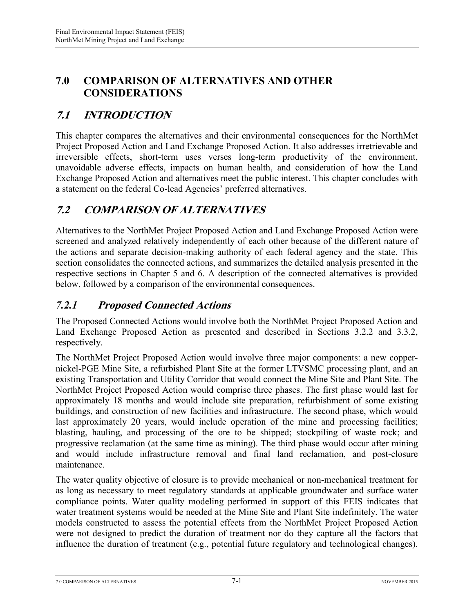## **7.0 COMPARISON OF ALTERNATIVES AND OTHER CONSIDERATIONS**

## **7.1 INTRODUCTION**

This chapter compares the alternatives and their environmental consequences for the NorthMet Project Proposed Action and Land Exchange Proposed Action. It also addresses irretrievable and irreversible effects, short-term uses verses long-term productivity of the environment, unavoidable adverse effects, impacts on human health, and consideration of how the Land Exchange Proposed Action and alternatives meet the public interest. This chapter concludes with a statement on the federal Co-lead Agencies' preferred alternatives.

## **7.2 COMPARISON OF ALTERNATIVES**

Alternatives to the NorthMet Project Proposed Action and Land Exchange Proposed Action were screened and analyzed relatively independently of each other because of the different nature of the actions and separate decision-making authority of each federal agency and the state. This section consolidates the connected actions, and summarizes the detailed analysis presented in the respective sections in Chapter 5 and 6. A description of the connected alternatives is provided below, followed by a comparison of the environmental consequences.

### *7.2.1* **Proposed Connected Actions**

The Proposed Connected Actions would involve both the NorthMet Project Proposed Action and Land Exchange Proposed Action as presented and described in Sections 3.2.2 and 3.3.2, respectively.

The NorthMet Project Proposed Action would involve three major components: a new coppernickel-PGE Mine Site, a refurbished Plant Site at the former LTVSMC processing plant, and an existing Transportation and Utility Corridor that would connect the Mine Site and Plant Site. The NorthMet Project Proposed Action would comprise three phases. The first phase would last for approximately 18 months and would include site preparation, refurbishment of some existing buildings, and construction of new facilities and infrastructure. The second phase, which would last approximately 20 years, would include operation of the mine and processing facilities; blasting, hauling, and processing of the ore to be shipped; stockpiling of waste rock; and progressive reclamation (at the same time as mining). The third phase would occur after mining and would include infrastructure removal and final land reclamation, and post-closure maintenance.

The water quality objective of closure is to provide mechanical or non-mechanical treatment for as long as necessary to meet regulatory standards at applicable groundwater and surface water compliance points. Water quality modeling performed in support of this FEIS indicates that water treatment systems would be needed at the Mine Site and Plant Site indefinitely. The water models constructed to assess the potential effects from the NorthMet Project Proposed Action were not designed to predict the duration of treatment nor do they capture all the factors that influence the duration of treatment (e.g., potential future regulatory and technological changes).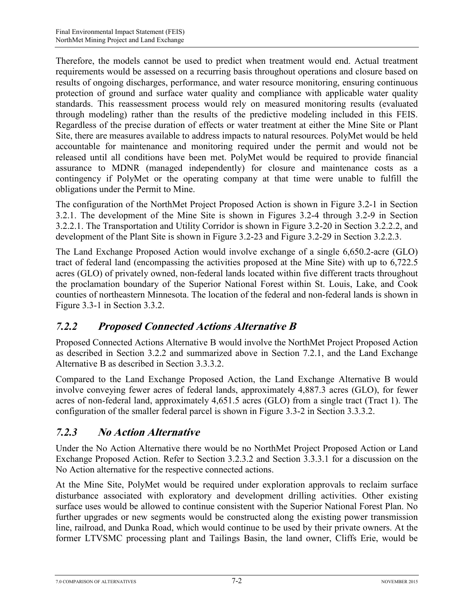Therefore, the models cannot be used to predict when treatment would end. Actual treatment requirements would be assessed on a recurring basis throughout operations and closure based on results of ongoing discharges, performance, and water resource monitoring, ensuring continuous protection of ground and surface water quality and compliance with applicable water quality standards. This reassessment process would rely on measured monitoring results (evaluated through modeling) rather than the results of the predictive modeling included in this FEIS. Regardless of the precise duration of effects or water treatment at either the Mine Site or Plant Site, there are measures available to address impacts to natural resources. PolyMet would be held accountable for maintenance and monitoring required under the permit and would not be released until all conditions have been met. PolyMet would be required to provide financial assurance to MDNR (managed independently) for closure and maintenance costs as a contingency if PolyMet or the operating company at that time were unable to fulfill the obligations under the Permit to Mine.

The configuration of the NorthMet Project Proposed Action is shown in Figure 3.2-1 in Section 3.2.1. The development of the Mine Site is shown in Figures 3.2-4 through 3.2-9 in Section 3.2.2.1. The Transportation and Utility Corridor is shown in Figure 3.2-20 in Section 3.2.2.2, and development of the Plant Site is shown in Figure 3.2-23 and Figure 3.2-29 in Section 3.2.2.3.

The Land Exchange Proposed Action would involve exchange of a single 6,650.2-acre (GLO) tract of federal land (encompassing the activities proposed at the Mine Site) with up to 6,722.5 acres (GLO) of privately owned, non-federal lands located within five different tracts throughout the proclamation boundary of the Superior National Forest within St. Louis, Lake, and Cook counties of northeastern Minnesota. The location of the federal and non-federal lands is shown in Figure 3.3-1 in Section 3.3.2.

## *7.2.2* **Proposed Connected Actions Alternative B**

Proposed Connected Actions Alternative B would involve the NorthMet Project Proposed Action as described in Section 3.2.2 and summarized above in Section 7.2.1, and the Land Exchange Alternative B as described in Section 3.3.3.2.

Compared to the Land Exchange Proposed Action, the Land Exchange Alternative B would involve conveying fewer acres of federal lands, approximately 4,887.3 acres (GLO), for fewer acres of non-federal land, approximately 4,651.5 acres (GLO) from a single tract (Tract 1). The configuration of the smaller federal parcel is shown in Figure 3.3-2 in Section 3.3.3.2.

# *7.2.3* **No Action Alternative**

Under the No Action Alternative there would be no NorthMet Project Proposed Action or Land Exchange Proposed Action. Refer to Section 3.2.3.2 and Section 3.3.3.1 for a discussion on the No Action alternative for the respective connected actions.

At the Mine Site, PolyMet would be required under exploration approvals to reclaim surface disturbance associated with exploratory and development drilling activities. Other existing surface uses would be allowed to continue consistent with the Superior National Forest Plan. No further upgrades or new segments would be constructed along the existing power transmission line, railroad, and Dunka Road, which would continue to be used by their private owners. At the former LTVSMC processing plant and Tailings Basin, the land owner, Cliffs Erie, would be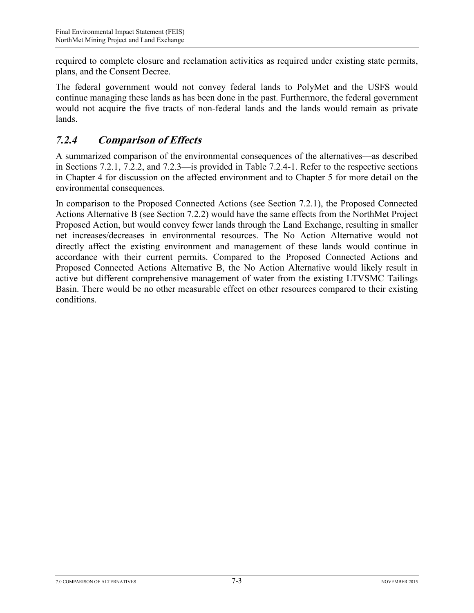required to complete closure and reclamation activities as required under existing state permits, plans, and the Consent Decree.

The federal government would not convey federal lands to PolyMet and the USFS would continue managing these lands as has been done in the past. Furthermore, the federal government would not acquire the five tracts of non-federal lands and the lands would remain as private lands.

# *7.2.4* **Comparison of Effects**

A summarized comparison of the environmental consequences of the alternatives—as described in Sections 7.2.1, 7.2.2, and 7.2.3—is provided in Table 7.2.4-1. Refer to the respective sections in Chapter 4 for discussion on the affected environment and to Chapter 5 for more detail on the environmental consequences.

In comparison to the Proposed Connected Actions (see Section 7.2.1), the Proposed Connected Actions Alternative B (see Section 7.2.2) would have the same effects from the NorthMet Project Proposed Action, but would convey fewer lands through the Land Exchange, resulting in smaller net increases/decreases in environmental resources. The No Action Alternative would not directly affect the existing environment and management of these lands would continue in accordance with their current permits. Compared to the Proposed Connected Actions and Proposed Connected Actions Alternative B, the No Action Alternative would likely result in active but different comprehensive management of water from the existing LTVSMC Tailings Basin. There would be no other measurable effect on other resources compared to their existing conditions.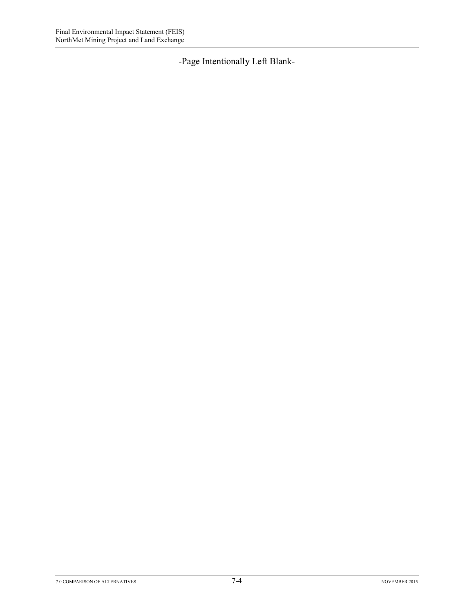-Page Intentionally Left Blank-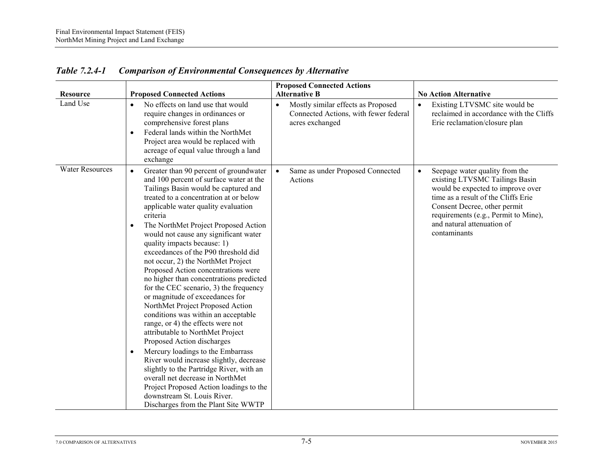|                        |                                                                                                                                                                                                                                                                                                                                                                                                                                                                                                                                                                                                                                                                                                                                                                                                                                                                                                                                                                                                                                                                                               | <b>Proposed Connected Actions</b>                                                                           |                                                                                                                                                                                                                                                                                 |  |  |
|------------------------|-----------------------------------------------------------------------------------------------------------------------------------------------------------------------------------------------------------------------------------------------------------------------------------------------------------------------------------------------------------------------------------------------------------------------------------------------------------------------------------------------------------------------------------------------------------------------------------------------------------------------------------------------------------------------------------------------------------------------------------------------------------------------------------------------------------------------------------------------------------------------------------------------------------------------------------------------------------------------------------------------------------------------------------------------------------------------------------------------|-------------------------------------------------------------------------------------------------------------|---------------------------------------------------------------------------------------------------------------------------------------------------------------------------------------------------------------------------------------------------------------------------------|--|--|
| <b>Resource</b>        | <b>Proposed Connected Actions</b>                                                                                                                                                                                                                                                                                                                                                                                                                                                                                                                                                                                                                                                                                                                                                                                                                                                                                                                                                                                                                                                             | <b>Alternative B</b>                                                                                        | <b>No Action Alternative</b>                                                                                                                                                                                                                                                    |  |  |
| Land Use               | No effects on land use that would<br>$\bullet$<br>require changes in ordinances or<br>comprehensive forest plans<br>Federal lands within the NorthMet<br>$\bullet$<br>Project area would be replaced with<br>acreage of equal value through a land<br>exchange                                                                                                                                                                                                                                                                                                                                                                                                                                                                                                                                                                                                                                                                                                                                                                                                                                | Mostly similar effects as Proposed<br>$\bullet$<br>Connected Actions, with fewer federal<br>acres exchanged | Existing LTVSMC site would be<br>$\bullet$<br>reclaimed in accordance with the Cliffs<br>Erie reclamation/closure plan                                                                                                                                                          |  |  |
| <b>Water Resources</b> | Greater than 90 percent of groundwater<br>$\bullet$<br>and 100 percent of surface water at the<br>Tailings Basin would be captured and<br>treated to a concentration at or below<br>applicable water quality evaluation<br>criteria<br>The NorthMet Project Proposed Action<br>$\bullet$<br>would not cause any significant water<br>quality impacts because: 1)<br>exceedances of the P90 threshold did<br>not occur, 2) the NorthMet Project<br>Proposed Action concentrations were<br>no higher than concentrations predicted<br>for the CEC scenario, 3) the frequency<br>or magnitude of exceedances for<br>NorthMet Project Proposed Action<br>conditions was within an acceptable<br>range, or 4) the effects were not<br>attributable to NorthMet Project<br>Proposed Action discharges<br>Mercury loadings to the Embarrass<br>$\bullet$<br>River would increase slightly, decrease<br>slightly to the Partridge River, with an<br>overall net decrease in NorthMet<br>Project Proposed Action loadings to the<br>downstream St. Louis River.<br>Discharges from the Plant Site WWTP | Same as under Proposed Connected<br>$\bullet$<br>Actions                                                    | Seepage water quality from the<br>$\bullet$<br>existing LTVSMC Tailings Basin<br>would be expected to improve over<br>time as a result of the Cliffs Erie<br>Consent Decree, other permit<br>requirements (e.g., Permit to Mine),<br>and natural attenuation of<br>contaminants |  |  |

*Table 7.2.4-1 Comparison of Environmental Consequences by Alternative*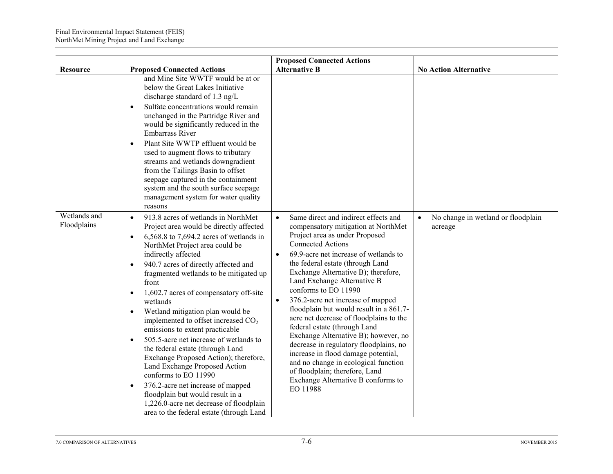|                             |                                                                                                                                                                                                                                                                                                                                                                                                                                                                                                                                                                                                                                                                                                                                                                                                                                                                     | <b>Proposed Connected Actions</b>                                                                                                                                                                                                                                                                                                                                                                                                                                                                                                                                                                                                                                                                                                                                           |                                                            |
|-----------------------------|---------------------------------------------------------------------------------------------------------------------------------------------------------------------------------------------------------------------------------------------------------------------------------------------------------------------------------------------------------------------------------------------------------------------------------------------------------------------------------------------------------------------------------------------------------------------------------------------------------------------------------------------------------------------------------------------------------------------------------------------------------------------------------------------------------------------------------------------------------------------|-----------------------------------------------------------------------------------------------------------------------------------------------------------------------------------------------------------------------------------------------------------------------------------------------------------------------------------------------------------------------------------------------------------------------------------------------------------------------------------------------------------------------------------------------------------------------------------------------------------------------------------------------------------------------------------------------------------------------------------------------------------------------------|------------------------------------------------------------|
| <b>Resource</b>             | <b>Proposed Connected Actions</b>                                                                                                                                                                                                                                                                                                                                                                                                                                                                                                                                                                                                                                                                                                                                                                                                                                   | <b>Alternative B</b>                                                                                                                                                                                                                                                                                                                                                                                                                                                                                                                                                                                                                                                                                                                                                        | <b>No Action Alternative</b>                               |
|                             | and Mine Site WWTF would be at or<br>below the Great Lakes Initiative<br>discharge standard of 1.3 ng/L<br>Sulfate concentrations would remain<br>unchanged in the Partridge River and<br>would be significantly reduced in the<br><b>Embarrass River</b><br>Plant Site WWTP effluent would be<br>$\bullet$<br>used to augment flows to tributary<br>streams and wetlands downgradient<br>from the Tailings Basin to offset<br>seepage captured in the containment<br>system and the south surface seepage<br>management system for water quality<br>reasons                                                                                                                                                                                                                                                                                                        |                                                                                                                                                                                                                                                                                                                                                                                                                                                                                                                                                                                                                                                                                                                                                                             |                                                            |
| Wetlands and<br>Floodplains | 913.8 acres of wetlands in NorthMet<br>Project area would be directly affected<br>$6,568.8$ to 7,694.2 acres of wetlands in<br>NorthMet Project area could be<br>indirectly affected<br>940.7 acres of directly affected and<br>$\bullet$<br>fragmented wetlands to be mitigated up<br>front<br>1,602.7 acres of compensatory off-site<br>$\bullet$<br>wetlands<br>Wetland mitigation plan would be<br>implemented to offset increased CO <sub>2</sub><br>emissions to extent practicable<br>505.5-acre net increase of wetlands to<br>$\bullet$<br>the federal estate (through Land<br>Exchange Proposed Action); therefore,<br>Land Exchange Proposed Action<br>conforms to EO 11990<br>376.2-acre net increase of mapped<br>$\bullet$<br>floodplain but would result in a<br>1,226.0-acre net decrease of floodplain<br>area to the federal estate (through Land | Same direct and indirect effects and<br>$\bullet$<br>compensatory mitigation at NorthMet<br>Project area as under Proposed<br><b>Connected Actions</b><br>69.9-acre net increase of wetlands to<br>$\bullet$<br>the federal estate (through Land<br>Exchange Alternative B); therefore,<br>Land Exchange Alternative B<br>conforms to EO 11990<br>376.2-acre net increase of mapped<br>$\bullet$<br>floodplain but would result in a 861.7-<br>acre net decrease of floodplains to the<br>federal estate (through Land<br>Exchange Alternative B); however, no<br>decrease in regulatory floodplains, no<br>increase in flood damage potential,<br>and no change in ecological function<br>of floodplain; therefore, Land<br>Exchange Alternative B conforms to<br>EO 11988 | No change in wetland or floodplain<br>$\bullet$<br>acreage |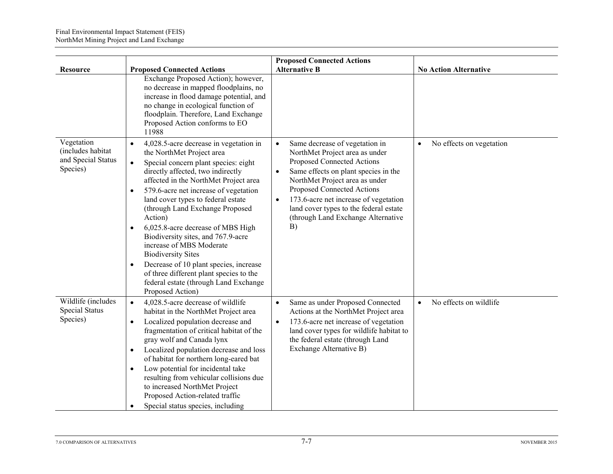| <b>Proposed Connected Actions</b>                                 |                                                                                                                                                                                                                                                                                                                                                                                                                                                                                                                                                                                                                                                                               |                                                                                                                                                                                                                                                                                                                                                                              |                                       |  |  |
|-------------------------------------------------------------------|-------------------------------------------------------------------------------------------------------------------------------------------------------------------------------------------------------------------------------------------------------------------------------------------------------------------------------------------------------------------------------------------------------------------------------------------------------------------------------------------------------------------------------------------------------------------------------------------------------------------------------------------------------------------------------|------------------------------------------------------------------------------------------------------------------------------------------------------------------------------------------------------------------------------------------------------------------------------------------------------------------------------------------------------------------------------|---------------------------------------|--|--|
| <b>Resource</b>                                                   | <b>Proposed Connected Actions</b>                                                                                                                                                                                                                                                                                                                                                                                                                                                                                                                                                                                                                                             | <b>Alternative B</b>                                                                                                                                                                                                                                                                                                                                                         | <b>No Action Alternative</b>          |  |  |
|                                                                   | Exchange Proposed Action); however,<br>no decrease in mapped floodplains, no<br>increase in flood damage potential, and<br>no change in ecological function of<br>floodplain. Therefore, Land Exchange<br>Proposed Action conforms to EO<br>11988                                                                                                                                                                                                                                                                                                                                                                                                                             |                                                                                                                                                                                                                                                                                                                                                                              |                                       |  |  |
| Vegetation<br>(includes habitat<br>and Special Status<br>Species) | 4,028.5-acre decrease in vegetation in<br>$\bullet$<br>the NorthMet Project area<br>Special concern plant species: eight<br>$\bullet$<br>directly affected, two indirectly<br>affected in the NorthMet Project area<br>579.6-acre net increase of vegetation<br>$\bullet$<br>land cover types to federal estate<br>(through Land Exchange Proposed<br>Action)<br>6,025.8-acre decrease of MBS High<br>$\bullet$<br>Biodiversity sites, and 767.9-acre<br>increase of MBS Moderate<br><b>Biodiversity Sites</b><br>Decrease of 10 plant species, increase<br>$\bullet$<br>of three different plant species to the<br>federal estate (through Land Exchange<br>Proposed Action) | Same decrease of vegetation in<br>$\bullet$<br>NorthMet Project area as under<br>Proposed Connected Actions<br>Same effects on plant species in the<br>$\bullet$<br>NorthMet Project area as under<br>Proposed Connected Actions<br>173.6-acre net increase of vegetation<br>$\bullet$<br>land cover types to the federal estate<br>(through Land Exchange Alternative<br>B) | No effects on vegetation<br>$\bullet$ |  |  |
| Wildlife (includes)<br><b>Special Status</b><br>Species)          | 4,028.5-acre decrease of wildlife<br>$\bullet$<br>habitat in the NorthMet Project area<br>Localized population decrease and<br>$\bullet$<br>fragmentation of critical habitat of the<br>gray wolf and Canada lynx<br>Localized population decrease and loss<br>$\bullet$<br>of habitat for northern long-eared bat<br>Low potential for incidental take<br>$\bullet$<br>resulting from vehicular collisions due<br>to increased NorthMet Project<br>Proposed Action-related traffic<br>Special status species, including<br>$\bullet$                                                                                                                                         | Same as under Proposed Connected<br>$\bullet$<br>Actions at the NorthMet Project area<br>173.6-acre net increase of vegetation<br>$\bullet$<br>land cover types for wildlife habitat to<br>the federal estate (through Land<br>Exchange Alternative B)                                                                                                                       | No effects on wildlife<br>$\bullet$   |  |  |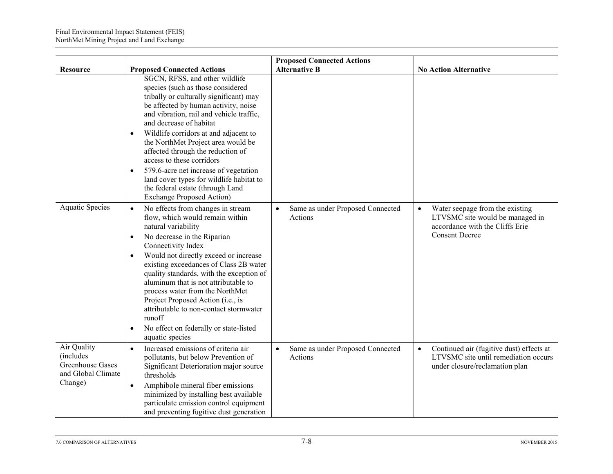|                                                                                              |                                                                                                                                                                                                                                                                                                                                                                                                                                                                                                                                                                      | <b>Proposed Connected Actions</b>                        |                                                                                                                                             |
|----------------------------------------------------------------------------------------------|----------------------------------------------------------------------------------------------------------------------------------------------------------------------------------------------------------------------------------------------------------------------------------------------------------------------------------------------------------------------------------------------------------------------------------------------------------------------------------------------------------------------------------------------------------------------|----------------------------------------------------------|---------------------------------------------------------------------------------------------------------------------------------------------|
| <b>Resource</b>                                                                              | <b>Proposed Connected Actions</b>                                                                                                                                                                                                                                                                                                                                                                                                                                                                                                                                    | <b>Alternative B</b>                                     | <b>No Action Alternative</b>                                                                                                                |
|                                                                                              | SGCN, RFSS, and other wildlife<br>species (such as those considered<br>tribally or culturally significant) may<br>be affected by human activity, noise<br>and vibration, rail and vehicle traffic,<br>and decrease of habitat<br>Wildlife corridors at and adjacent to<br>$\bullet$<br>the NorthMet Project area would be<br>affected through the reduction of<br>access to these corridors<br>579.6-acre net increase of vegetation<br>٠<br>land cover types for wildlife habitat to<br>the federal estate (through Land<br><b>Exchange Proposed Action)</b>        |                                                          |                                                                                                                                             |
| <b>Aquatic Species</b>                                                                       | No effects from changes in stream<br>$\bullet$<br>flow, which would remain within<br>natural variability<br>No decrease in the Riparian<br>$\bullet$<br>Connectivity Index<br>Would not directly exceed or increase<br>$\bullet$<br>existing exceedances of Class 2B water<br>quality standards, with the exception of<br>aluminum that is not attributable to<br>process water from the NorthMet<br>Project Proposed Action (i.e., is<br>attributable to non-contact stormwater<br>runoff<br>No effect on federally or state-listed<br>$\bullet$<br>aquatic species | Same as under Proposed Connected<br>$\bullet$<br>Actions | Water seepage from the existing<br>$\bullet$<br>LTVSMC site would be managed in<br>accordance with the Cliffs Erie<br><b>Consent Decree</b> |
| Air Quality<br><i>(includes)</i><br><b>Greenhouse Gases</b><br>and Global Climate<br>Change) | Increased emissions of criteria air<br>$\bullet$<br>pollutants, but below Prevention of<br>Significant Deterioration major source<br>thresholds<br>Amphibole mineral fiber emissions<br>$\bullet$<br>minimized by installing best available<br>particulate emission control equipment<br>and preventing fugitive dust generation                                                                                                                                                                                                                                     | Same as under Proposed Connected<br>$\bullet$<br>Actions | Continued air (fugitive dust) effects at<br>$\bullet$<br>LTVSMC site until remediation occurs<br>under closure/reclamation plan             |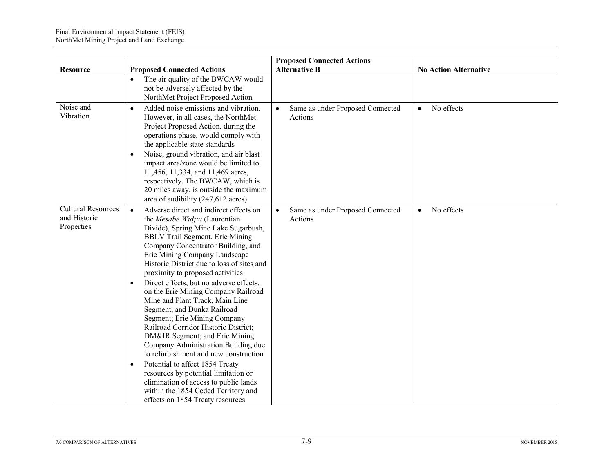|                                                         |                                                                                                                                                                                                                                                                                                                                                                                                                                                                                                                                                                                                                                                                                                                                                                                                                                                                                                        | <b>Proposed Connected Actions</b>                        |                              |
|---------------------------------------------------------|--------------------------------------------------------------------------------------------------------------------------------------------------------------------------------------------------------------------------------------------------------------------------------------------------------------------------------------------------------------------------------------------------------------------------------------------------------------------------------------------------------------------------------------------------------------------------------------------------------------------------------------------------------------------------------------------------------------------------------------------------------------------------------------------------------------------------------------------------------------------------------------------------------|----------------------------------------------------------|------------------------------|
| <b>Resource</b>                                         | <b>Proposed Connected Actions</b>                                                                                                                                                                                                                                                                                                                                                                                                                                                                                                                                                                                                                                                                                                                                                                                                                                                                      | <b>Alternative B</b>                                     | <b>No Action Alternative</b> |
|                                                         | The air quality of the BWCAW would<br>$\bullet$<br>not be adversely affected by the<br>NorthMet Project Proposed Action                                                                                                                                                                                                                                                                                                                                                                                                                                                                                                                                                                                                                                                                                                                                                                                |                                                          |                              |
| Noise and<br>Vibration                                  | Added noise emissions and vibration.<br>$\bullet$<br>However, in all cases, the NorthMet<br>Project Proposed Action, during the<br>operations phase, would comply with<br>the applicable state standards<br>Noise, ground vibration, and air blast<br>$\bullet$<br>impact area/zone would be limited to<br>11,456, 11,334, and 11,469 acres,<br>respectively. The BWCAW, which is<br>20 miles away, is outside the maximum<br>area of audibility (247,612 acres)                                                                                                                                                                                                                                                                                                                                                                                                                                       | Same as under Proposed Connected<br>$\bullet$<br>Actions | No effects<br>$\bullet$      |
| <b>Cultural Resources</b><br>and Historic<br>Properties | Adverse direct and indirect effects on<br>$\bullet$<br>the Mesabe Widjiu (Laurentian<br>Divide), Spring Mine Lake Sugarbush,<br><b>BBLV Trail Segment, Erie Mining</b><br>Company Concentrator Building, and<br>Erie Mining Company Landscape<br>Historic District due to loss of sites and<br>proximity to proposed activities<br>Direct effects, but no adverse effects,<br>$\bullet$<br>on the Erie Mining Company Railroad<br>Mine and Plant Track, Main Line<br>Segment, and Dunka Railroad<br>Segment; Erie Mining Company<br>Railroad Corridor Historic District;<br>DM&IR Segment; and Erie Mining<br>Company Administration Building due<br>to refurbishment and new construction<br>Potential to affect 1854 Treaty<br>$\bullet$<br>resources by potential limitation or<br>elimination of access to public lands<br>within the 1854 Ceded Territory and<br>effects on 1854 Treaty resources | Same as under Proposed Connected<br>$\bullet$<br>Actions | No effects<br>$\bullet$      |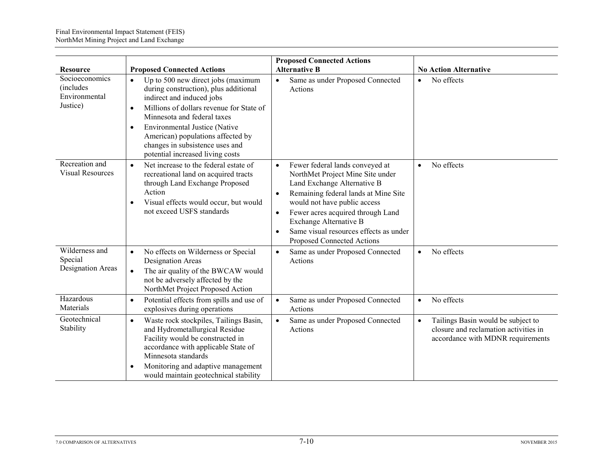|                                                                                     |                                                                                                                                                                                                                                                                                                                                                                                                                     | <b>Proposed Connected Actions</b>                                                                                                                                                                                                                                                                                                                                     |                                                                                                                               |
|-------------------------------------------------------------------------------------|---------------------------------------------------------------------------------------------------------------------------------------------------------------------------------------------------------------------------------------------------------------------------------------------------------------------------------------------------------------------------------------------------------------------|-----------------------------------------------------------------------------------------------------------------------------------------------------------------------------------------------------------------------------------------------------------------------------------------------------------------------------------------------------------------------|-------------------------------------------------------------------------------------------------------------------------------|
| <b>Resource</b><br>Socioeconomics<br><i>(includes)</i><br>Environmental<br>Justice) | <b>Proposed Connected Actions</b><br>Up to 500 new direct jobs (maximum<br>$\bullet$<br>during construction), plus additional<br>indirect and induced jobs<br>Millions of dollars revenue for State of<br>$\bullet$<br>Minnesota and federal taxes<br><b>Environmental Justice (Native</b><br>$\bullet$<br>American) populations affected by<br>changes in subsistence uses and<br>potential increased living costs | <b>Alternative B</b><br>Same as under Proposed Connected<br>$\bullet$<br>Actions                                                                                                                                                                                                                                                                                      | <b>No Action Alternative</b><br>No effects<br>$\bullet$                                                                       |
| Recreation and<br><b>Visual Resources</b>                                           | Net increase to the federal estate of<br>$\bullet$<br>recreational land on acquired tracts<br>through Land Exchange Proposed<br>Action<br>Visual effects would occur, but would<br>$\bullet$<br>not exceed USFS standards                                                                                                                                                                                           | Fewer federal lands conveyed at<br>$\bullet$<br>NorthMet Project Mine Site under<br>Land Exchange Alternative B<br>Remaining federal lands at Mine Site<br>$\bullet$<br>would not have public access<br>Fewer acres acquired through Land<br>$\bullet$<br>Exchange Alternative B<br>Same visual resources effects as under<br>$\bullet$<br>Proposed Connected Actions | No effects<br>$\bullet$                                                                                                       |
| Wilderness and<br>Special<br>Designation Areas                                      | No effects on Wilderness or Special<br>$\bullet$<br>Designation Areas<br>The air quality of the BWCAW would<br>$\bullet$<br>not be adversely affected by the<br>NorthMet Project Proposed Action                                                                                                                                                                                                                    | Same as under Proposed Connected<br>$\bullet$<br>Actions                                                                                                                                                                                                                                                                                                              | No effects<br>$\bullet$                                                                                                       |
| Hazardous<br>Materials                                                              | Potential effects from spills and use of<br>$\bullet$<br>explosives during operations                                                                                                                                                                                                                                                                                                                               | Same as under Proposed Connected<br>$\bullet$<br>Actions                                                                                                                                                                                                                                                                                                              | No effects<br>$\bullet$                                                                                                       |
| Geotechnical<br>Stability                                                           | Waste rock stockpiles, Tailings Basin,<br>$\bullet$<br>and Hydrometallurgical Residue<br>Facility would be constructed in<br>accordance with applicable State of<br>Minnesota standards<br>Monitoring and adaptive management<br>$\bullet$<br>would maintain geotechnical stability                                                                                                                                 | Same as under Proposed Connected<br>$\bullet$<br>Actions                                                                                                                                                                                                                                                                                                              | Tailings Basin would be subject to<br>$\bullet$<br>closure and reclamation activities in<br>accordance with MDNR requirements |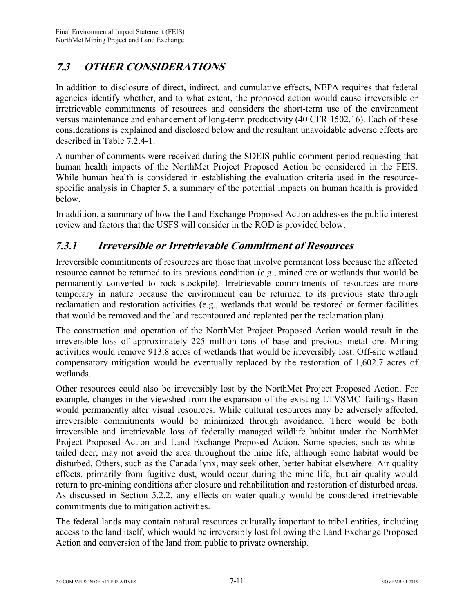# **7.3 OTHER CONSIDERATIONS**

In addition to disclosure of direct, indirect, and cumulative effects, NEPA requires that federal agencies identify whether, and to what extent, the proposed action would cause irreversible or irretrievable commitments of resources and considers the short-term use of the environment versus maintenance and enhancement of long-term productivity (40 CFR 1502.16). Each of these considerations is explained and disclosed below and the resultant unavoidable adverse effects are described in Table 7.2.4-1.

A number of comments were received during the SDEIS public comment period requesting that human health impacts of the NorthMet Project Proposed Action be considered in the FEIS. While human health is considered in establishing the evaluation criteria used in the resourcespecific analysis in Chapter 5, a summary of the potential impacts on human health is provided below.

In addition, a summary of how the Land Exchange Proposed Action addresses the public interest review and factors that the USFS will consider in the ROD is provided below.

## *7.3.1* **Irreversible or Irretrievable Commitment of Resources**

Irreversible commitments of resources are those that involve permanent loss because the affected resource cannot be returned to its previous condition (e.g., mined ore or wetlands that would be permanently converted to rock stockpile). Irretrievable commitments of resources are more temporary in nature because the environment can be returned to its previous state through reclamation and restoration activities (e.g., wetlands that would be restored or former facilities that would be removed and the land recontoured and replanted per the reclamation plan).

The construction and operation of the NorthMet Project Proposed Action would result in the irreversible loss of approximately 225 million tons of base and precious metal ore. Mining activities would remove 913.8 acres of wetlands that would be irreversibly lost. Off-site wetland compensatory mitigation would be eventually replaced by the restoration of 1,602.7 acres of wetlands.

Other resources could also be irreversibly lost by the NorthMet Project Proposed Action. For example, changes in the viewshed from the expansion of the existing LTVSMC Tailings Basin would permanently alter visual resources. While cultural resources may be adversely affected, irreversible commitments would be minimized through avoidance. There would be both irreversible and irretrievable loss of federally managed wildlife habitat under the NorthMet Project Proposed Action and Land Exchange Proposed Action. Some species, such as whitetailed deer, may not avoid the area throughout the mine life, although some habitat would be disturbed. Others, such as the Canada lynx, may seek other, better habitat elsewhere. Air quality effects, primarily from fugitive dust, would occur during the mine life, but air quality would return to pre-mining conditions after closure and rehabilitation and restoration of disturbed areas. As discussed in Section 5.2.2, any effects on water quality would be considered irretrievable commitments due to mitigation activities.

The federal lands may contain natural resources culturally important to tribal entities, including access to the land itself, which would be irreversibly lost following the Land Exchange Proposed Action and conversion of the land from public to private ownership.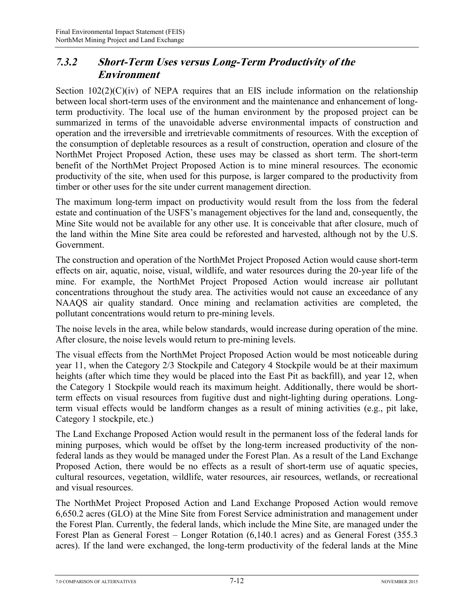## *7.3.2* **Short-Term Uses versus Long-Term Productivity of the Environment**

Section  $102(2)(C)(iv)$  of NEPA requires that an EIS include information on the relationship between local short-term uses of the environment and the maintenance and enhancement of longterm productivity. The local use of the human environment by the proposed project can be summarized in terms of the unavoidable adverse environmental impacts of construction and operation and the irreversible and irretrievable commitments of resources. With the exception of the consumption of depletable resources as a result of construction, operation and closure of the NorthMet Project Proposed Action, these uses may be classed as short term. The short-term benefit of the NorthMet Project Proposed Action is to mine mineral resources. The economic productivity of the site, when used for this purpose, is larger compared to the productivity from timber or other uses for the site under current management direction.

The maximum long-term impact on productivity would result from the loss from the federal estate and continuation of the USFS's management objectives for the land and, consequently, the Mine Site would not be available for any other use. It is conceivable that after closure, much of the land within the Mine Site area could be reforested and harvested, although not by the U.S. Government.

The construction and operation of the NorthMet Project Proposed Action would cause short-term effects on air, aquatic, noise, visual, wildlife, and water resources during the 20-year life of the mine. For example, the NorthMet Project Proposed Action would increase air pollutant concentrations throughout the study area. The activities would not cause an exceedance of any NAAQS air quality standard. Once mining and reclamation activities are completed, the pollutant concentrations would return to pre-mining levels.

The noise levels in the area, while below standards, would increase during operation of the mine. After closure, the noise levels would return to pre-mining levels.

The visual effects from the NorthMet Project Proposed Action would be most noticeable during year 11, when the Category 2/3 Stockpile and Category 4 Stockpile would be at their maximum heights (after which time they would be placed into the East Pit as backfill), and year 12, when the Category 1 Stockpile would reach its maximum height. Additionally, there would be shortterm effects on visual resources from fugitive dust and night-lighting during operations. Longterm visual effects would be landform changes as a result of mining activities (e.g., pit lake, Category 1 stockpile, etc.)

The Land Exchange Proposed Action would result in the permanent loss of the federal lands for mining purposes, which would be offset by the long-term increased productivity of the nonfederal lands as they would be managed under the Forest Plan. As a result of the Land Exchange Proposed Action, there would be no effects as a result of short-term use of aquatic species, cultural resources, vegetation, wildlife, water resources, air resources, wetlands, or recreational and visual resources.

The NorthMet Project Proposed Action and Land Exchange Proposed Action would remove 6,650.2 acres (GLO) at the Mine Site from Forest Service administration and management under the Forest Plan. Currently, the federal lands, which include the Mine Site, are managed under the Forest Plan as General Forest – Longer Rotation (6,140.1 acres) and as General Forest (355.3 acres). If the land were exchanged, the long-term productivity of the federal lands at the Mine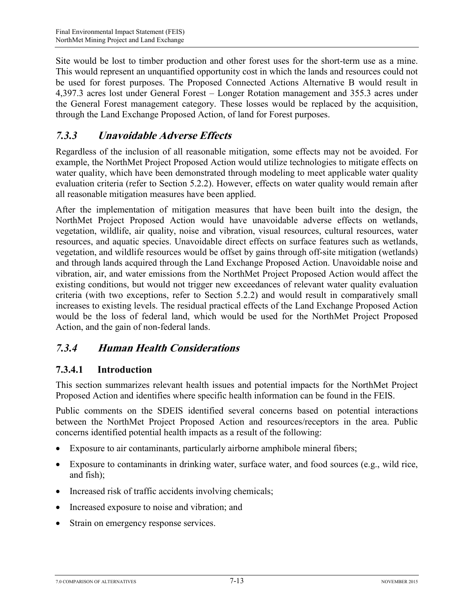Site would be lost to timber production and other forest uses for the short-term use as a mine. This would represent an unquantified opportunity cost in which the lands and resources could not be used for forest purposes. The Proposed Connected Actions Alternative B would result in 4,397.3 acres lost under General Forest – Longer Rotation management and 355.3 acres under the General Forest management category. These losses would be replaced by the acquisition, through the Land Exchange Proposed Action, of land for Forest purposes.

## *7.3.3* **Unavoidable Adverse Effects**

Regardless of the inclusion of all reasonable mitigation, some effects may not be avoided. For example, the NorthMet Project Proposed Action would utilize technologies to mitigate effects on water quality, which have been demonstrated through modeling to meet applicable water quality evaluation criteria (refer to Section 5.2.2). However, effects on water quality would remain after all reasonable mitigation measures have been applied.

After the implementation of mitigation measures that have been built into the design, the NorthMet Project Proposed Action would have unavoidable adverse effects on wetlands, vegetation, wildlife, air quality, noise and vibration, visual resources, cultural resources, water resources, and aquatic species. Unavoidable direct effects on surface features such as wetlands, vegetation, and wildlife resources would be offset by gains through off-site mitigation (wetlands) and through lands acquired through the Land Exchange Proposed Action. Unavoidable noise and vibration, air, and water emissions from the NorthMet Project Proposed Action would affect the existing conditions, but would not trigger new exceedances of relevant water quality evaluation criteria (with two exceptions, refer to Section 5.2.2) and would result in comparatively small increases to existing levels. The residual practical effects of the Land Exchange Proposed Action would be the loss of federal land, which would be used for the NorthMet Project Proposed Action, and the gain of non-federal lands.

## *7.3.4* **Human Health Considerations**

#### **7.3.4.1 Introduction**

This section summarizes relevant health issues and potential impacts for the NorthMet Project Proposed Action and identifies where specific health information can be found in the FEIS.

Public comments on the SDEIS identified several concerns based on potential interactions between the NorthMet Project Proposed Action and resources/receptors in the area. Public concerns identified potential health impacts as a result of the following:

- Exposure to air contaminants, particularly airborne amphibole mineral fibers;
- Exposure to contaminants in drinking water, surface water, and food sources (e.g., wild rice, and fish);
- Increased risk of traffic accidents involving chemicals;
- Increased exposure to noise and vibration; and
- Strain on emergency response services.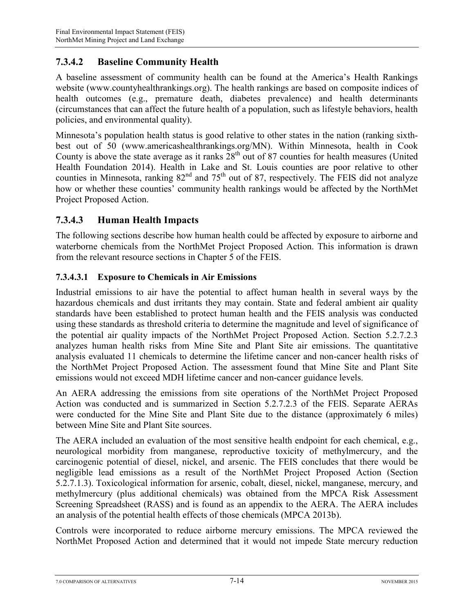### **7.3.4.2 Baseline Community Health**

A baseline assessment of community health can be found at the America's Health Rankings website (www.countyhealthrankings.org). The health rankings are based on composite indices of health outcomes (e.g., premature death, diabetes prevalence) and health determinants (circumstances that can affect the future health of a population, such as lifestyle behaviors, health policies, and environmental quality).

Minnesota's population health status is good relative to other states in the nation (ranking sixthbest out of 50 (www.americashealthrankings.org/MN). Within Minnesota, health in Cook County is above the state average as it ranks  $28<sup>th</sup>$  out of 87 counties for health measures (United Health Foundation 2014). Health in Lake and St. Louis counties are poor relative to other counties in Minnesota, ranking  $82<sup>nd</sup>$  and  $75<sup>th</sup>$  out of 87, respectively. The FEIS did not analyze how or whether these counties' community health rankings would be affected by the NorthMet Project Proposed Action.

#### **7.3.4.3 Human Health Impacts**

The following sections describe how human health could be affected by exposure to airborne and waterborne chemicals from the NorthMet Project Proposed Action. This information is drawn from the relevant resource sections in Chapter 5 of the FEIS.

#### **7.3.4.3.1 Exposure to Chemicals in Air Emissions**

Industrial emissions to air have the potential to affect human health in several ways by the hazardous chemicals and dust irritants they may contain. State and federal ambient air quality standards have been established to protect human health and the FEIS analysis was conducted using these standards as threshold criteria to determine the magnitude and level of significance of the potential air quality impacts of the NorthMet Project Proposed Action. Section 5.2.7.2.3 analyzes human health risks from Mine Site and Plant Site air emissions. The quantitative analysis evaluated 11 chemicals to determine the lifetime cancer and non-cancer health risks of the NorthMet Project Proposed Action. The assessment found that Mine Site and Plant Site emissions would not exceed MDH lifetime cancer and non-cancer guidance levels.

An AERA addressing the emissions from site operations of the NorthMet Project Proposed Action was conducted and is summarized in Section 5.2.7.2.3 of the FEIS. Separate AERAs were conducted for the Mine Site and Plant Site due to the distance (approximately 6 miles) between Mine Site and Plant Site sources.

The AERA included an evaluation of the most sensitive health endpoint for each chemical, e.g., neurological morbidity from manganese, reproductive toxicity of methylmercury, and the carcinogenic potential of diesel, nickel, and arsenic. The FEIS concludes that there would be negligible lead emissions as a result of the NorthMet Project Proposed Action (Section 5.2.7.1.3). Toxicological information for arsenic, cobalt, diesel, nickel, manganese, mercury, and methylmercury (plus additional chemicals) was obtained from the MPCA Risk Assessment Screening Spreadsheet (RASS) and is found as an appendix to the AERA. The AERA includes an analysis of the potential health effects of those chemicals (MPCA 2013b).

Controls were incorporated to reduce airborne mercury emissions. The MPCA reviewed the NorthMet Proposed Action and determined that it would not impede State mercury reduction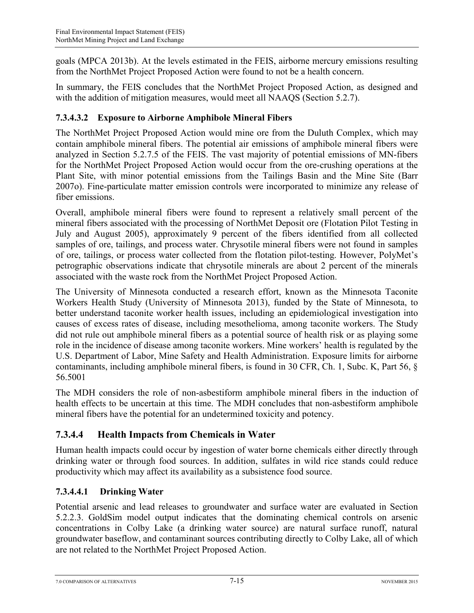goals (MPCA 2013b). At the levels estimated in the FEIS, airborne mercury emissions resulting from the NorthMet Project Proposed Action were found to not be a health concern.

In summary, the FEIS concludes that the NorthMet Project Proposed Action, as designed and with the addition of mitigation measures, would meet all NAAQS (Section 5.2.7).

#### **7.3.4.3.2 Exposure to Airborne Amphibole Mineral Fibers**

The NorthMet Project Proposed Action would mine ore from the Duluth Complex, which may contain amphibole mineral fibers. The potential air emissions of amphibole mineral fibers were analyzed in Section 5.2.7.5 of the FEIS. The vast majority of potential emissions of MN-fibers for the NorthMet Project Proposed Action would occur from the ore-crushing operations at the Plant Site, with minor potential emissions from the Tailings Basin and the Mine Site (Barr 2007o). Fine-particulate matter emission controls were incorporated to minimize any release of fiber emissions.

Overall, amphibole mineral fibers were found to represent a relatively small percent of the mineral fibers associated with the processing of NorthMet Deposit ore (Flotation Pilot Testing in July and August 2005), approximately 9 percent of the fibers identified from all collected samples of ore, tailings, and process water. Chrysotile mineral fibers were not found in samples of ore, tailings, or process water collected from the flotation pilot-testing. However, PolyMet's petrographic observations indicate that chrysotile minerals are about 2 percent of the minerals associated with the waste rock from the NorthMet Project Proposed Action.

The University of Minnesota conducted a research effort, known as the Minnesota Taconite Workers Health Study (University of Minnesota 2013), funded by the State of Minnesota, to better understand taconite worker health issues, including an epidemiological investigation into causes of excess rates of disease, including mesothelioma, among taconite workers. The Study did not rule out amphibole mineral fibers as a potential source of health risk or as playing some role in the incidence of disease among taconite workers. Mine workers' health is regulated by the U.S. Department of Labor, Mine Safety and Health Administration. Exposure limits for airborne contaminants, including amphibole mineral fibers, is found in 30 CFR, Ch. 1, Subc. K, Part 56, § 56.5001

The MDH considers the role of non-asbestiform amphibole mineral fibers in the induction of health effects to be uncertain at this time. The MDH concludes that non-asbestiform amphibole mineral fibers have the potential for an undetermined toxicity and potency.

#### **7.3.4.4 Health Impacts from Chemicals in Water**

Human health impacts could occur by ingestion of water borne chemicals either directly through drinking water or through food sources. In addition, sulfates in wild rice stands could reduce productivity which may affect its availability as a subsistence food source.

#### **7.3.4.4.1 Drinking Water**

Potential arsenic and lead releases to groundwater and surface water are evaluated in Section 5.2.2.3. GoldSim model output indicates that the dominating chemical controls on arsenic concentrations in Colby Lake (a drinking water source) are natural surface runoff, natural groundwater baseflow, and contaminant sources contributing directly to Colby Lake, all of which are not related to the NorthMet Project Proposed Action.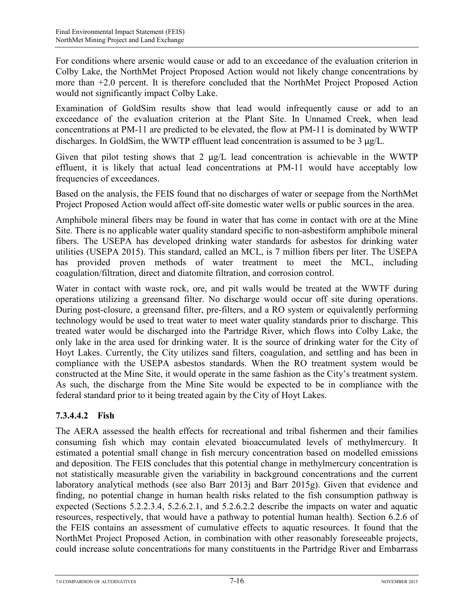For conditions where arsenic would cause or add to an exceedance of the evaluation criterion in Colby Lake, the NorthMet Project Proposed Action would not likely change concentrations by more than +2.0 percent. It is therefore concluded that the NorthMet Project Proposed Action would not significantly impact Colby Lake.

Examination of GoldSim results show that lead would infrequently cause or add to an exceedance of the evaluation criterion at the Plant Site. In Unnamed Creek, when lead concentrations at PM-11 are predicted to be elevated, the flow at PM-11 is dominated by WWTP discharges. In GoldSim, the WWTP effluent lead concentration is assumed to be 3 µg/L.

Given that pilot testing shows that  $2 \mu g/L$  lead concentration is achievable in the WWTP effluent, it is likely that actual lead concentrations at PM-11 would have acceptably low frequencies of exceedances.

Based on the analysis, the FEIS found that no discharges of water or seepage from the NorthMet Project Proposed Action would affect off-site domestic water wells or public sources in the area.

Amphibole mineral fibers may be found in water that has come in contact with ore at the Mine Site. There is no applicable water quality standard specific to non-asbestiform amphibole mineral fibers. The USEPA has developed drinking water standards for asbestos for drinking water utilities [\(USEPA 2015\)](http://water.epa.gov/drink/contaminants/basicinformation/asbestos.cfm). This standard, called an MCL, is 7 million fibers per liter. The USEPA has provided proven methods of water treatment to meet the MCL, including coagulation/filtration, direct and diatomite filtration, and corrosion control.

Water in contact with waste rock, ore, and pit walls would be treated at the WWTF during operations utilizing a greensand filter. No discharge would occur off site during operations. During post-closure, a greensand filter, pre-filters, and a RO system or equivalently performing technology would be used to treat water to meet water quality standards prior to discharge. This treated water would be discharged into the Partridge River, which flows into Colby Lake, the only lake in the area used for drinking water. It is the source of drinking water for the City of Hoyt Lakes. Currently, the City utilizes sand filters, coagulation, and settling and has been in compliance with the USEPA asbestos standards. When the RO treatment system would be constructed at the Mine Site, it would operate in the same fashion as the City's treatment system. As such, the discharge from the Mine Site would be expected to be in compliance with the federal standard prior to it being treated again by the City of Hoyt Lakes.

#### **7.3.4.4.2 Fish**

The AERA assessed the health effects for recreational and tribal fishermen and their families consuming fish which may contain elevated bioaccumulated levels of methylmercury. It estimated a potential small change in fish mercury concentration based on modelled emissions and deposition. The FEIS concludes that this potential change in methylmercury concentration is not statistically measurable given the variability in background concentrations and the current laboratory analytical methods (see also Barr 2013j and Barr 2015g). Given that evidence and finding, no potential change in human health risks related to the fish consumption pathway is expected (Sections 5.2.2.3.4, 5.2.6.2.1, and 5.2.6.2.2 describe the impacts on water and aquatic resources, respectively, that would have a pathway to potential human health). Section 6.2.6 of the FEIS contains an assessment of cumulative effects to aquatic resources. It found that the NorthMet Project Proposed Action, in combination with other reasonably foreseeable projects, could increase solute concentrations for many constituents in the Partridge River and Embarrass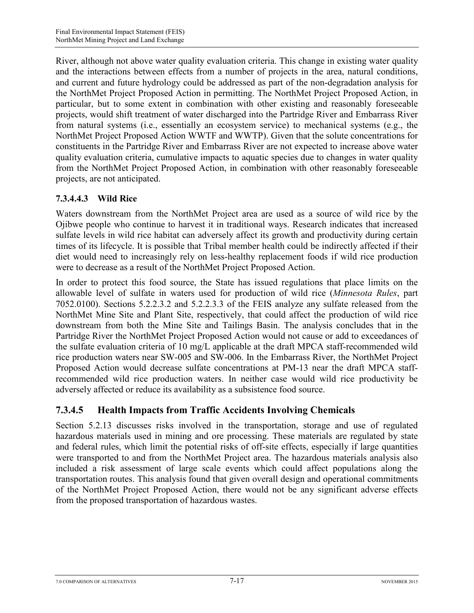River, although not above water quality evaluation criteria. This change in existing water quality and the interactions between effects from a number of projects in the area, natural conditions, and current and future hydrology could be addressed as part of the non-degradation analysis for the NorthMet Project Proposed Action in permitting. The NorthMet Project Proposed Action, in particular, but to some extent in combination with other existing and reasonably foreseeable projects, would shift treatment of water discharged into the Partridge River and Embarrass River from natural systems (i.e., essentially an ecosystem service) to mechanical systems (e.g., the NorthMet Project Proposed Action WWTF and WWTP). Given that the solute concentrations for constituents in the Partridge River and Embarrass River are not expected to increase above water quality evaluation criteria, cumulative impacts to aquatic species due to changes in water quality from the NorthMet Project Proposed Action, in combination with other reasonably foreseeable projects, are not anticipated.

### **7.3.4.4.3 Wild Rice**

Waters downstream from the NorthMet Project area are used as a source of wild rice by the Ojibwe people who continue to harvest it in traditional ways. Research indicates that increased sulfate levels in wild rice habitat can adversely affect its growth and productivity during certain times of its lifecycle. It is possible that Tribal member health could be indirectly affected if their diet would need to increasingly rely on less-healthy replacement foods if wild rice production were to decrease as a result of the NorthMet Project Proposed Action.

In order to protect this food source, the State has issued regulations that place limits on the allowable level of sulfate in waters used for production of wild rice (*Minnesota Rules*, part 7052.0100). Sections 5.2.2.3.2 and 5.2.2.3.3 of the FEIS analyze any sulfate released from the NorthMet Mine Site and Plant Site, respectively, that could affect the production of wild rice downstream from both the Mine Site and Tailings Basin. The analysis concludes that in the Partridge River the NorthMet Project Proposed Action would not cause or add to exceedances of the sulfate evaluation criteria of 10 mg/L applicable at the draft MPCA staff-recommended wild rice production waters near SW-005 and SW-006. In the Embarrass River, the NorthMet Project Proposed Action would decrease sulfate concentrations at PM-13 near the draft MPCA staffrecommended wild rice production waters. In neither case would wild rice productivity be adversely affected or reduce its availability as a subsistence food source.

### **7.3.4.5 Health Impacts from Traffic Accidents Involving Chemicals**

Section 5.2.13 discusses risks involved in the transportation, storage and use of regulated hazardous materials used in mining and ore processing. These materials are regulated by state and federal rules, which limit the potential risks of off-site effects, especially if large quantities were transported to and from the NorthMet Project area. The hazardous materials analysis also included a risk assessment of large scale events which could affect populations along the transportation routes. This analysis found that given overall design and operational commitments of the NorthMet Project Proposed Action, there would not be any significant adverse effects from the proposed transportation of hazardous wastes.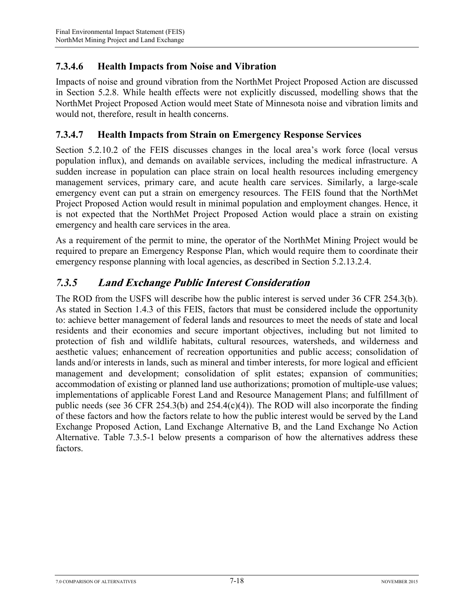### **7.3.4.6 Health Impacts from Noise and Vibration**

Impacts of noise and ground vibration from the NorthMet Project Proposed Action are discussed in Section 5.2.8. While health effects were not explicitly discussed, modelling shows that the NorthMet Project Proposed Action would meet State of Minnesota noise and vibration limits and would not, therefore, result in health concerns.

#### **7.3.4.7 Health Impacts from Strain on Emergency Response Services**

Section 5.2.10.2 of the FEIS discusses changes in the local area's work force (local versus population influx), and demands on available services, including the medical infrastructure. A sudden increase in population can place strain on local health resources including emergency management services, primary care, and acute health care services. Similarly, a large-scale emergency event can put a strain on emergency resources. The FEIS found that the NorthMet Project Proposed Action would result in minimal population and employment changes. Hence, it is not expected that the NorthMet Project Proposed Action would place a strain on existing emergency and health care services in the area.

As a requirement of the permit to mine, the operator of the NorthMet Mining Project would be required to prepare an Emergency Response Plan, which would require them to coordinate their emergency response planning with local agencies, as described in Section 5.2.13.2.4.

### *7.3.5* **Land Exchange Public Interest Consideration**

The ROD from the USFS will describe how the public interest is served under 36 CFR 254.3(b). As stated in Section 1.4.3 of this FEIS, factors that must be considered include the opportunity to: achieve better management of federal lands and resources to meet the needs of state and local residents and their economies and secure important objectives, including but not limited to protection of fish and wildlife habitats, cultural resources, watersheds, and wilderness and aesthetic values; enhancement of recreation opportunities and public access; consolidation of lands and/or interests in lands, such as mineral and timber interests, for more logical and efficient management and development; consolidation of split estates; expansion of communities; accommodation of existing or planned land use authorizations; promotion of multiple-use values; implementations of applicable Forest Land and Resource Management Plans; and fulfillment of public needs (see 36 CFR 254.3(b) and 254.4(c)(4)). The ROD will also incorporate the finding of these factors and how the factors relate to how the public interest would be served by the Land Exchange Proposed Action, Land Exchange Alternative B, and the Land Exchange No Action Alternative. Table 7.3.5-1 below presents a comparison of how the alternatives address these factors.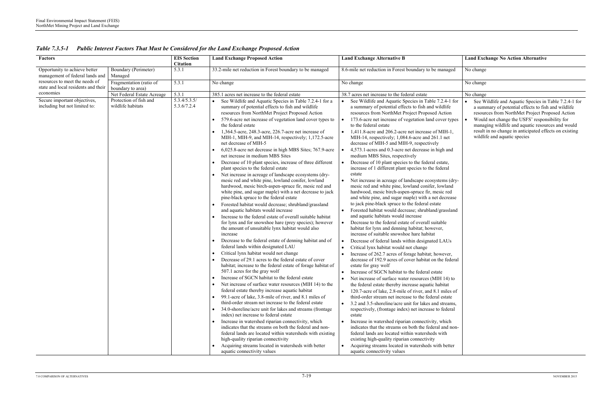| <b>Factors</b>                                                        |                                                                           | <b>EIS</b> Section<br><b>Citation</b> | <b>Land Exchange Proposed Action</b>                                                                                                                                                                                                                                                                                                                                                                                                                                                                                                                                                                                                                                                                                                                                                                                                                                                                                                                                                                                                                                                                                                                                                                                                                                                                                                                                                                                                                                                                                                                                                                                                                                                                                                                                                                                                                                                                                                                                                                                                                                                                                                                                                                                                                                                | <b>Land Exchange Alternative B</b>                                                                                                                                                                                                                                                                                                                                                                                                                                                                                                                                                                                                                                                                                                                                                                                                                                                                                                                                                                                                                                                                                                                                                                                                                                                                                                                                                                                                                                                                                                                                                                                                                                                                                                                                                                                                                                                                                                                                                                                                                                                                                                                                                     | <b>Land Exchange No Action Alternative</b>                                                                                                                                                                                                                                                                                                                                   |
|-----------------------------------------------------------------------|---------------------------------------------------------------------------|---------------------------------------|-------------------------------------------------------------------------------------------------------------------------------------------------------------------------------------------------------------------------------------------------------------------------------------------------------------------------------------------------------------------------------------------------------------------------------------------------------------------------------------------------------------------------------------------------------------------------------------------------------------------------------------------------------------------------------------------------------------------------------------------------------------------------------------------------------------------------------------------------------------------------------------------------------------------------------------------------------------------------------------------------------------------------------------------------------------------------------------------------------------------------------------------------------------------------------------------------------------------------------------------------------------------------------------------------------------------------------------------------------------------------------------------------------------------------------------------------------------------------------------------------------------------------------------------------------------------------------------------------------------------------------------------------------------------------------------------------------------------------------------------------------------------------------------------------------------------------------------------------------------------------------------------------------------------------------------------------------------------------------------------------------------------------------------------------------------------------------------------------------------------------------------------------------------------------------------------------------------------------------------------------------------------------------------|----------------------------------------------------------------------------------------------------------------------------------------------------------------------------------------------------------------------------------------------------------------------------------------------------------------------------------------------------------------------------------------------------------------------------------------------------------------------------------------------------------------------------------------------------------------------------------------------------------------------------------------------------------------------------------------------------------------------------------------------------------------------------------------------------------------------------------------------------------------------------------------------------------------------------------------------------------------------------------------------------------------------------------------------------------------------------------------------------------------------------------------------------------------------------------------------------------------------------------------------------------------------------------------------------------------------------------------------------------------------------------------------------------------------------------------------------------------------------------------------------------------------------------------------------------------------------------------------------------------------------------------------------------------------------------------------------------------------------------------------------------------------------------------------------------------------------------------------------------------------------------------------------------------------------------------------------------------------------------------------------------------------------------------------------------------------------------------------------------------------------------------------------------------------------------------|------------------------------------------------------------------------------------------------------------------------------------------------------------------------------------------------------------------------------------------------------------------------------------------------------------------------------------------------------------------------------|
| Opportunity to achieve better<br>management of federal lands and      | Boundary (Perimeter)<br>Managed                                           | 5.3.1                                 | 33.2-mile net reduction in Forest boundary to be managed                                                                                                                                                                                                                                                                                                                                                                                                                                                                                                                                                                                                                                                                                                                                                                                                                                                                                                                                                                                                                                                                                                                                                                                                                                                                                                                                                                                                                                                                                                                                                                                                                                                                                                                                                                                                                                                                                                                                                                                                                                                                                                                                                                                                                            | 8.6-mile net reduction in Forest boundary to be managed                                                                                                                                                                                                                                                                                                                                                                                                                                                                                                                                                                                                                                                                                                                                                                                                                                                                                                                                                                                                                                                                                                                                                                                                                                                                                                                                                                                                                                                                                                                                                                                                                                                                                                                                                                                                                                                                                                                                                                                                                                                                                                                                | No change                                                                                                                                                                                                                                                                                                                                                                    |
| resources to meet the needs of<br>state and local residents and their | Fragmentation (ratio of<br>boundary to area)                              | 5.3.1                                 | No change                                                                                                                                                                                                                                                                                                                                                                                                                                                                                                                                                                                                                                                                                                                                                                                                                                                                                                                                                                                                                                                                                                                                                                                                                                                                                                                                                                                                                                                                                                                                                                                                                                                                                                                                                                                                                                                                                                                                                                                                                                                                                                                                                                                                                                                                           | No change                                                                                                                                                                                                                                                                                                                                                                                                                                                                                                                                                                                                                                                                                                                                                                                                                                                                                                                                                                                                                                                                                                                                                                                                                                                                                                                                                                                                                                                                                                                                                                                                                                                                                                                                                                                                                                                                                                                                                                                                                                                                                                                                                                              | No change                                                                                                                                                                                                                                                                                                                                                                    |
| economies                                                             |                                                                           | 5.3.1                                 |                                                                                                                                                                                                                                                                                                                                                                                                                                                                                                                                                                                                                                                                                                                                                                                                                                                                                                                                                                                                                                                                                                                                                                                                                                                                                                                                                                                                                                                                                                                                                                                                                                                                                                                                                                                                                                                                                                                                                                                                                                                                                                                                                                                                                                                                                     |                                                                                                                                                                                                                                                                                                                                                                                                                                                                                                                                                                                                                                                                                                                                                                                                                                                                                                                                                                                                                                                                                                                                                                                                                                                                                                                                                                                                                                                                                                                                                                                                                                                                                                                                                                                                                                                                                                                                                                                                                                                                                                                                                                                        |                                                                                                                                                                                                                                                                                                                                                                              |
| Secure important objectives,<br>including but not limited to:         | Net Federal Estate Acreage<br>Protection of fish and<br>wildlife habitats | 5.3.4/5.3.5/<br>5.3.6/7.2.4           | 385.1 acres net increase to the federal estate<br>See Wildlife and Aquatic Species in Table 7.2.4-1 for a<br>summary of potential effects to fish and wildlife<br>resources from NorthMet Project Proposed Action<br>579.6-acre net increase of vegetation land cover types to<br>the federal estate<br>1,364.5-acre, 248.3-acre, 226.7-acre net increase of<br>MIH-1, MIH-9, and MIH-14, respectively; 1,172.5-acre<br>net decrease of MIH-5<br>6,025.8-acre net decrease in high MBS Sites; 767.9-acre<br>net increase in medium MBS Sites<br>Decrease of 10 plant species, increase of three different<br>plant species to the federal estate<br>Net increase in acreage of landscape ecosystems (dry-<br>mesic red and white pine, lowland conifer, lowland<br>hardwood, mesic birch-aspen-spruce fir, mesic red and<br>white pine, and sugar maple) with a net decrease to jack<br>pine-black spruce to the federal estate<br>Forested habitat would decrease; shrubland/grassland<br>and aquatic habitats would increase<br>Increase to the federal estate of overall suitable habitat<br>for lynx and for snowshoe hare (prey species); however<br>the amount of unsuitable lynx habitat would also<br>increase<br>Decrease to the federal estate of denning habitat and of<br>federal lands within designated LAU<br>Critical lynx habitat would not change<br>Decrease of 29.1 acres to the federal estate of cover<br>habitat; increase to the federal estate of forage habitat of<br>507.1 acres for the gray wolf<br>Increase of SGCN habitat to the federal estate<br>Net increase of surface water resources (MIH 14) to the<br>federal estate thereby increase aquatic habitat<br>99.1-acre of lake, 3.8-mile of river, and 8.1 miles of<br>$\bullet$<br>third-order stream net increase to the federal estate<br>34.0-shoreline/acre unit for lakes and streams (frontage<br>$\bullet$<br>index) net increase to federal estate<br>Increase in watershed riparian connectivity, which<br>$\bullet$<br>indicates that the streams on both the federal and non-<br>federal lands are located within watersheds with existing<br>high-quality riparian connectivity<br>Acquiring streams located in watersheds with better<br>$\bullet$<br>aquatic connectivity values | 38.7 acres net increase to the federal estate<br>See Wildlife and Aquatic Species in Table 7.2.4-1 for<br>a summary of potential effects to fish and wildlife<br>resources from NorthMet Project Proposed Action<br>173.6-acre net increase of vegetation land cover types<br>to the federal estate<br>1,411.8-acre and 206.2-acre net increase of MIH-1,<br>MIH-14, respectively; 1,084.6-acre and 261.1 net<br>decrease of MIH-5 and MIH-9, respectively<br>4,573.1-acres and 0.3-acre net decrease in high and<br>medium MBS Sites, respectively<br>Decrease of 10 plant species to the federal estate,<br>increase of 1 different plant species to the federal<br>estate<br>Net increase in acreage of landscape ecosystems (dry-<br>mesic red and white pine, lowland conifer, lowland<br>hardwood, mesic birch-aspen-spruce fir, mesic red<br>and white pine, and sugar maple) with a net decrease<br>to jack pine-black spruce to the federal estate<br>Forested habitat would decrease; shrubland/grassland<br>and aquatic habitats would increase<br>Decrease to the federal estate of overall suitable<br>habitat for lynx and denning habitat; however,<br>increase of suitable snowshoe hare habitat<br>Decrease of federal lands within designated LAUs<br>Critical lynx habitat would not change<br>Increase of 262.7 acres of forage habitat; however,<br>decrease of 192.9 acres of cover habitat on the federal<br>estate for gray wolf<br>Increase of SGCN habitat to the federal estate<br>• Net increase of surface water resources (MIH 14) to<br>the federal estate thereby increase aquatic habitat<br>120.7-acre of lake, 2.8-mile of river, and 8.1 miles of<br>third-order stream net increase to the federal estate<br>3.2 and 3.5-shoreline/acre unit for lakes and streams,<br>respectively, (frontage index) net increase to federal<br>estate<br>Increase in watershed riparian connectivity, which<br>indicates that the streams on both the federal and non-<br>federal lands are located within watersheds with<br>existing high-quality riparian connectivity<br>Acquiring streams located in watersheds with better<br>aquatic connectivity values | No change<br>See Wildlife and Aquatic Species in Table 7.2.4-1 for<br>a summary of potential effects to fish and wildlife<br>resources from NorthMet Project Proposed Action<br>Would not change the USFS' responsibility for<br>managing wildlife and aquatic resources and would<br>result in no change in anticipated effects on existing<br>wildlife and aquatic species |
|                                                                       |                                                                           |                                       |                                                                                                                                                                                                                                                                                                                                                                                                                                                                                                                                                                                                                                                                                                                                                                                                                                                                                                                                                                                                                                                                                                                                                                                                                                                                                                                                                                                                                                                                                                                                                                                                                                                                                                                                                                                                                                                                                                                                                                                                                                                                                                                                                                                                                                                                                     |                                                                                                                                                                                                                                                                                                                                                                                                                                                                                                                                                                                                                                                                                                                                                                                                                                                                                                                                                                                                                                                                                                                                                                                                                                                                                                                                                                                                                                                                                                                                                                                                                                                                                                                                                                                                                                                                                                                                                                                                                                                                                                                                                                                        |                                                                                                                                                                                                                                                                                                                                                                              |

*Table 7.3.5-1 Public Interest Factors That Must be Considered for the Land Exchange Proposed Action*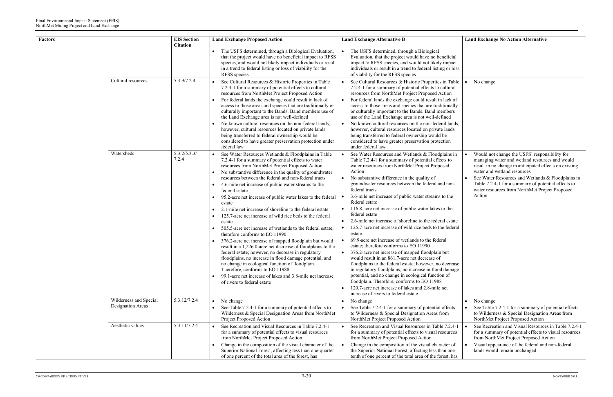| <b>Factors</b> |                                             | <b>EIS Section</b><br><b>Citation</b> | <b>Land Exchange Proposed Action</b>                                                                                                                                                                                                                                                                                                                                                                                                                                                                                                                                                                                                                                                                                                                                                                                                                                                                                                                                                                                                                                                                                                                                 | <b>Land Exchange Alternative B</b>                                                                                                                                                                                                                                                                                                                                                                                                                                                                                                                                                                                                                                                                                                                                                                                                                                                                                                                                                                                                                                                                           | <b>Land Exchange No Action Alternative</b>                                                                                                                                                                                                                                                                                                                       |
|----------------|---------------------------------------------|---------------------------------------|----------------------------------------------------------------------------------------------------------------------------------------------------------------------------------------------------------------------------------------------------------------------------------------------------------------------------------------------------------------------------------------------------------------------------------------------------------------------------------------------------------------------------------------------------------------------------------------------------------------------------------------------------------------------------------------------------------------------------------------------------------------------------------------------------------------------------------------------------------------------------------------------------------------------------------------------------------------------------------------------------------------------------------------------------------------------------------------------------------------------------------------------------------------------|--------------------------------------------------------------------------------------------------------------------------------------------------------------------------------------------------------------------------------------------------------------------------------------------------------------------------------------------------------------------------------------------------------------------------------------------------------------------------------------------------------------------------------------------------------------------------------------------------------------------------------------------------------------------------------------------------------------------------------------------------------------------------------------------------------------------------------------------------------------------------------------------------------------------------------------------------------------------------------------------------------------------------------------------------------------------------------------------------------------|------------------------------------------------------------------------------------------------------------------------------------------------------------------------------------------------------------------------------------------------------------------------------------------------------------------------------------------------------------------|
|                |                                             |                                       | The USFS determined, through a Biological Evaluation,<br>that the project would have no beneficial impact to RFSS<br>species, and would not likely impact individuals or result<br>in a trend to federal listing or loss of viability for the<br>RFSS species                                                                                                                                                                                                                                                                                                                                                                                                                                                                                                                                                                                                                                                                                                                                                                                                                                                                                                        | The USFS determined, through a Biological<br>Evaluation, that the project would have no beneficial<br>impact to RFSS species, and would not likely impact<br>individuals or result in a trend to federal listing or loss<br>of viability for the RFSS species                                                                                                                                                                                                                                                                                                                                                                                                                                                                                                                                                                                                                                                                                                                                                                                                                                                |                                                                                                                                                                                                                                                                                                                                                                  |
|                | Cultural resources                          | 5.3.9/7.2.4                           | See Cultural Resources & Historic Properties in Table<br>$\bullet$<br>7.2.4-1 for a summary of potential effects to cultural<br>resources from NorthMet Project Proposed Action<br>For federal lands the exchange could result in lack of<br>$\bullet$<br>access to those areas and species that are traditionally or<br>culturally important to the Bands. Band members use of<br>the Land Exchange area is not well-defined<br>No known cultural resources on the non-federal lands,<br>$\bullet$<br>however, cultural resources located on private lands<br>being transferred to federal ownership would be<br>considered to have greater preservation protection under<br>federal law                                                                                                                                                                                                                                                                                                                                                                                                                                                                            | See Cultural Resources & Historic Properties in Table<br>7.2.4-1 for a summary of potential effects to cultural<br>resources from NorthMet Project Proposed Action<br>For federal lands the exchange could result in lack of<br>access to those areas and species that are traditionally<br>or culturally important to the Bands. Band members<br>use of the Land Exchange area is not well-defined<br>No known cultural resources on the non-federal lands,<br>however, cultural resources located on private lands<br>being transferred to federal ownership would be<br>considered to have greater preservation protection<br>under federal law                                                                                                                                                                                                                                                                                                                                                                                                                                                           | No change                                                                                                                                                                                                                                                                                                                                                        |
|                | Watersheds                                  | 5.3.2/5.3.3/<br>7.2.4                 | See Water Resources Wetlands & Floodplains in Table<br>7.2.4-1 for a summary of potential effects to water<br>resources from NorthMet Project Proposed Action<br>No substantive difference in the quality of groundwater<br>$\bullet$<br>resources between the federal and non-federal tracts<br>• 4.6-mile net increase of public water streams to the<br>federal estate<br>95.2-acre net increase of public water lakes to the federal<br>$\bullet$<br>estate<br>2.1-mile net increase of shoreline to the federal estate<br>125.7-acre net increase of wild rice beds to the federal<br>estate<br>505.5-acre net increase of wetlands to the federal estate;<br>$\bullet$<br>therefore conforms to EO 11990<br>376.2-acre net increase of mapped floodplain but would<br>$\bullet$<br>result in a 1,226.0-acre net decrease of floodplains to the<br>federal estate; however, no decrease in regulatory<br>floodplains, no increase in flood damage potential, and<br>no change in ecological function of floodplain.<br>Therefore, conforms to EO 11988<br>99.1-acre net increase of lakes and 3.8-mile net increase<br>$\bullet$<br>of rivers to federal estate | See Water Resources and Wetlands & Floodplains in<br>Table 7.2.4-1 for a summary of potential effects to<br>water resources from NorthMet Project Proposed<br>Action<br>No substantive difference in the quality of<br>groundwater resources between the federal and non-<br>federal tracts<br>3.6-mile net increase of public water streams to the<br>federal estate<br>116.8-acre net increase of public water lakes to the<br>federal estate<br>2.6-mile net increase of shoreline to the federal estate<br>125.7-acre net increase of wild rice beds to the federal<br>estate<br>69.9-acre net increase of wetlands to the federal<br>estate; therefore conforms to EO 11990<br>376.2-acre net increase of mapped floodplain but<br>would result in an 861.7-acre net decrease of<br>floodplains to the federal estate; however, no decrease<br>in regulatory floodplains, no increase in flood damage<br>potential, and no change in ecological function of<br>floodplain. Therefore, conforms to EO 11988<br>120.7-acre net increase of lakes and 2.8-mile net<br>increase of rivers to federal estate | Would not change the USFS' responsibility for<br>managing water and wetland resources and would<br>result in no change in anticipated effects on existing<br>water and wetland resources<br>See Water Resources and Wetlands & Floodplains in<br>Table 7.2.4-1 for a summary of potential effects to<br>water resources from NorthMet Project Proposed<br>Action |
|                | Wilderness and Special<br>Designation Areas | 5.3.12/7.2.4                          | No change<br>$\bullet$<br>See Table 7.2.4-1 for a summary of potential effects to<br>$\bullet$<br>Wilderness & Special Designation Areas from NorthMet<br>Project Proposed Action                                                                                                                                                                                                                                                                                                                                                                                                                                                                                                                                                                                                                                                                                                                                                                                                                                                                                                                                                                                    | No change<br>See Table 7.2.4-1 for a summary of potential effects<br>to Wilderness & Special Designation Areas from<br>NorthMet Project Proposed Action                                                                                                                                                                                                                                                                                                                                                                                                                                                                                                                                                                                                                                                                                                                                                                                                                                                                                                                                                      | No change<br>See Table 7.2.4-1 for a summary of potential effects<br>to Wilderness & Special Designation Areas from<br>NorthMet Project Proposed Action                                                                                                                                                                                                          |
|                | Aesthetic values                            | 5.3.11/7.2.4                          | See Recreation and Visual Resources in Table 7.2.4-1<br>$\bullet$<br>for a summary of potential effects to visual resources<br>from NorthMet Project Proposed Action<br>Change in the composition of the visual character of the<br>$\bullet$<br>Superior National Forest, affecting less than one-quarter<br>of one percent of the total area of the forest, has                                                                                                                                                                                                                                                                                                                                                                                                                                                                                                                                                                                                                                                                                                                                                                                                    | See Recreation and Visual Resources in Table 7.2.4-1<br>for a summary of potential effects to visual resources<br>from NorthMet Project Proposed Action<br>Change in the composition of the visual character of<br>the Superior National Forest, affecting less than one-<br>tenth of one percent of the total area of the forest, has                                                                                                                                                                                                                                                                                                                                                                                                                                                                                                                                                                                                                                                                                                                                                                       | See Recreation and Visual Resources in Table 7.2.4-1<br>for a summary of potential effects to visual resources<br>from NorthMet Project Proposed Action<br>Visual appearance of the federal and non-federal<br>lands would remain unchanged                                                                                                                      |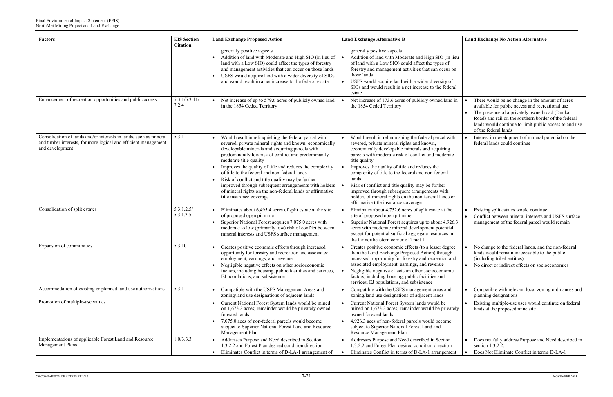| Factors                                                                                                                                                 | <b>EIS</b> Section<br><b>Citation</b> | <b>Land Exchange Proposed Action</b>                                                                                                                                                                                                                                                                                                                                                                                                                                                                                                                                      | <b>Land Exchange Alternative B</b>                                                                                                                                                                                                                                                                                                                                                                                                                                                                                                                    | <b>Land Exchange No Action Alternative</b>                                                                                                                                                                                 |
|---------------------------------------------------------------------------------------------------------------------------------------------------------|---------------------------------------|---------------------------------------------------------------------------------------------------------------------------------------------------------------------------------------------------------------------------------------------------------------------------------------------------------------------------------------------------------------------------------------------------------------------------------------------------------------------------------------------------------------------------------------------------------------------------|-------------------------------------------------------------------------------------------------------------------------------------------------------------------------------------------------------------------------------------------------------------------------------------------------------------------------------------------------------------------------------------------------------------------------------------------------------------------------------------------------------------------------------------------------------|----------------------------------------------------------------------------------------------------------------------------------------------------------------------------------------------------------------------------|
|                                                                                                                                                         |                                       | generally positive aspects<br>Addition of land with Moderate and High SIO (in lieu of<br>land with a Low SIO) could affect the types of forestry<br>and management activities that can occur on those lands<br>USFS would acquire land with a wider diversity of SIOs<br>and would result in a net increase to the federal estate                                                                                                                                                                                                                                         | generally positive aspects<br>Addition of land with Moderate and High SIO (in lieu<br>of land with a Low SIO) could affect the types of<br>forestry and management activities that can occur on<br>those lands<br>USFS would acquire land with a wider diversity of<br>SIOs and would result in a net increase to the federal<br>estate                                                                                                                                                                                                               |                                                                                                                                                                                                                            |
| Enhancement of recreation opportunities and public access                                                                                               | 5.3.1/5.3.11/<br>7.2.4                | Net increase of up to 579.6 acres of publicly owned land<br>in the 1854 Ceded Territory                                                                                                                                                                                                                                                                                                                                                                                                                                                                                   | Net increase of 173.6 acres of publicly owned land in<br>the 1854 Ceded Territory                                                                                                                                                                                                                                                                                                                                                                                                                                                                     | There would be no change in the am<br>available for public access and recre<br>The presence of a privately owned r<br>Road) and rail on the southern borde<br>lands would continue to limit public<br>of the federal lands |
| Consolidation of lands and/or interests in lands, such as mineral<br>and timber interests, for more logical and efficient management<br>and development | 5.3.1                                 | Would result in relinquishing the federal parcel with<br>severed, private mineral rights and known, economically<br>developable minerals and acquiring parcels with<br>predominantly low risk of conflict and predominantly<br>moderate title quality<br>Improves the quality of title and reduces the complexity<br>of title to the federal and non-federal lands<br>Risk of conflict and title quality may be further<br>improved through subsequent arrangements with holders<br>of mineral rights on the non-federal lands or affirmative<br>title insurance coverage | Would result in relinquishing the federal parcel with<br>severed, private mineral rights and known,<br>economically developable minerals and acquiring<br>parcels with moderate risk of conflict and moderate<br>title quality<br>Improves the quality of title and reduces the<br>complexity of title to the federal and non-federal<br>lands<br>Risk of conflict and title quality may be further<br>improved through subsequent arrangements with<br>holders of mineral rights on the non-federal lands or<br>affirmative title insurance coverage | Interest in development of mineral p<br>federal lands could continue                                                                                                                                                       |
| Consolidation of split estates                                                                                                                          | 5.3.1.2.5/<br>5.3.1.3.5               | Eliminates about 6,495.4 acres of split estate at the site<br>of proposed open pit mine<br>Superior National Forest acquires 7,075.0 acres with<br>moderate to low (primarily low) risk of conflict between<br>mineral interests and USFS surface management                                                                                                                                                                                                                                                                                                              | Eliminates about 4,752.6 acres of split estate at the<br>site of proposed open pit mine<br>Superior National Forest acquires up to about 4,926.3<br>acres with moderate mineral development potential,<br>except for potential surficial aggregate resources in<br>the far northeastern corner of Tract 1                                                                                                                                                                                                                                             | Existing split estates would continue<br>Conflict between mineral interests a<br>management of the federal parcel we                                                                                                       |
| Expansion of communities                                                                                                                                | 5.3.10                                | Creates positive economic effects through increased<br>opportunity for forestry and recreation and associated<br>employment, earnings, and revenue<br>Negligible negative effects on other socioeconomic<br>factors, including housing, public facilities and services,<br>EJ populations, and subsistence                                                                                                                                                                                                                                                                | Creates positive economic effects (to a lesser degree<br>than the Land Exchange Proposed Action) through<br>increased opportunity for forestry and recreation and<br>associated employment, earnings, and revenue<br>Negligible negative effects on other socioeconomic<br>factors, including housing, public facilities and<br>services, EJ populations, and subsistence                                                                                                                                                                             | No change to the federal lands, and<br>lands would remain inaccessible to t<br>(including tribal entities)<br>• No direct or indirect effects on socion                                                                    |
| Accommodation of existing or planned land use authorizations                                                                                            | 5.3.1                                 | Compatible with the USFS Management Areas and<br>zoning/land use designations of adjacent lands                                                                                                                                                                                                                                                                                                                                                                                                                                                                           | Compatible with the USFS management areas and<br>zoning/land use designations of adjacent lands                                                                                                                                                                                                                                                                                                                                                                                                                                                       | Compatible with relevant local zoni<br>planning designations                                                                                                                                                               |
| Promotion of multiple-use values                                                                                                                        |                                       | Current National Forest System lands would be mined<br>on 1,673.2 acres; remainder would be privately owned<br>forested lands<br>7,075.0 aces of non-federal parcels would become<br>$\bullet$<br>subject to Superior National Forest Land and Resource<br>Management Plan                                                                                                                                                                                                                                                                                                | Current National Forest System lands would be<br>mined on 1,673.2 acres; remainder would be privately<br>owned forested lands<br>4,926.3 aces of non-federal parcels would become<br>subject to Superior National Forest Land and<br>Resource Management Plan                                                                                                                                                                                                                                                                                         | Existing multiple-use uses would co<br>lands at the proposed mine site                                                                                                                                                     |
| Implementations of applicable Forest Land and Resource<br><b>Management Plans</b>                                                                       | 1.0/3.3.3                             | • Addresses Purpose and Need described in Section<br>1.3.2.2 and Forest Plan desired condition direction<br>Eliminates Conflict in terms of D-LA-1 arrangement of                                                                                                                                                                                                                                                                                                                                                                                                         | Addresses Purpose and Need described in Section<br>1.3.2.2 and Forest Plan desired condition direction<br>Eliminates Conflict in terms of D-LA-1 arrangement<br>$\bullet$                                                                                                                                                                                                                                                                                                                                                                             | Does not fully address Purpose and<br>section 1.3.2.2.<br>Does Not Eliminate Conflict in term                                                                                                                              |

|                                   | <b>Land Exchange No Action Alternative</b>                                                                                                                                                                                                                                                                  |
|-----------------------------------|-------------------------------------------------------------------------------------------------------------------------------------------------------------------------------------------------------------------------------------------------------------------------------------------------------------|
| lieu                              |                                                                                                                                                                                                                                                                                                             |
| on                                |                                                                                                                                                                                                                                                                                                             |
| f<br>ral                          |                                                                                                                                                                                                                                                                                                             |
| $1$ in                            | There would be no change in the amount of acres<br>$\bullet$<br>available for public access and recreational use<br>The presence of a privately owned road (Dunka<br>Road) and rail on the southern border of the federal<br>lands would continue to limit public access to and use<br>of the federal lands |
| th<br>te                          | Interest in development of mineral potential on the<br>federal lands could continue                                                                                                                                                                                                                         |
| or                                |                                                                                                                                                                                                                                                                                                             |
| <sup>2</sup><br>26.3<br>ιl,<br>n. | Existing split estates would continue<br>Conflict between mineral interests and USFS surface<br>management of the federal parcel would remain                                                                                                                                                               |
| ee<br>ı<br>nd<br>C                | No change to the federal lands, and the non-federal<br>lands would remain inaccessible to the public<br>(including tribal entities)<br>No direct or indirect effects on socioeconomics                                                                                                                      |
|                                   | Compatible with relevant local zoning ordinances and<br>planning designations                                                                                                                                                                                                                               |
| tely                              | Existing multiple-use uses would continue on federal<br>lands at the proposed mine site                                                                                                                                                                                                                     |
| ent                               | Does not fully address Purpose and Need described in<br>section 1.3.2.2.<br>Does Not Eliminate Conflict in terms D-LA-1                                                                                                                                                                                     |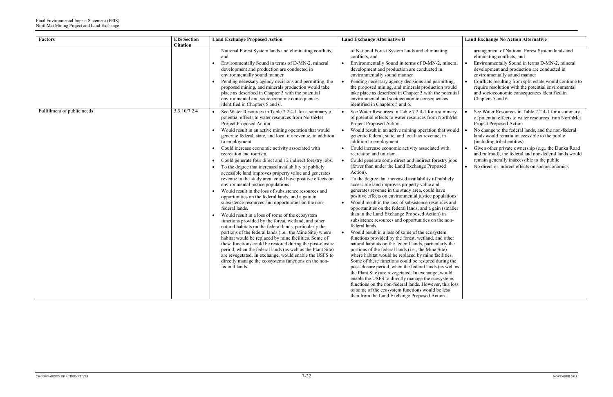| <b>Factors</b>              | <b>EIS</b> Section<br><b>Citation</b> | <b>Land Exchange Proposed Action</b>                                                                                                                                                                                                                                                                                                                                                                                                                                                                                                                                                                                                                                                                                                                                                                                                                                                                                                                                                                                                                                                                                                                                                                                                                                                                                                                                                                           | <b>Land Exchange Alternative B</b>                                                                                                                                                                                                                                                                                                                                                                                                                                                                                                                                                                                                                                                                                                                                                                                                                                                                                                                                                                                                                                                                                                                                                                                                                                                                                                                                                                                                                                                                                                                                                                                                     | <b>Land Exchange No Action Alternative</b>                                                                                                                                                                                                                                                                                                                                                                                                                                                                    |
|-----------------------------|---------------------------------------|----------------------------------------------------------------------------------------------------------------------------------------------------------------------------------------------------------------------------------------------------------------------------------------------------------------------------------------------------------------------------------------------------------------------------------------------------------------------------------------------------------------------------------------------------------------------------------------------------------------------------------------------------------------------------------------------------------------------------------------------------------------------------------------------------------------------------------------------------------------------------------------------------------------------------------------------------------------------------------------------------------------------------------------------------------------------------------------------------------------------------------------------------------------------------------------------------------------------------------------------------------------------------------------------------------------------------------------------------------------------------------------------------------------|----------------------------------------------------------------------------------------------------------------------------------------------------------------------------------------------------------------------------------------------------------------------------------------------------------------------------------------------------------------------------------------------------------------------------------------------------------------------------------------------------------------------------------------------------------------------------------------------------------------------------------------------------------------------------------------------------------------------------------------------------------------------------------------------------------------------------------------------------------------------------------------------------------------------------------------------------------------------------------------------------------------------------------------------------------------------------------------------------------------------------------------------------------------------------------------------------------------------------------------------------------------------------------------------------------------------------------------------------------------------------------------------------------------------------------------------------------------------------------------------------------------------------------------------------------------------------------------------------------------------------------------|---------------------------------------------------------------------------------------------------------------------------------------------------------------------------------------------------------------------------------------------------------------------------------------------------------------------------------------------------------------------------------------------------------------------------------------------------------------------------------------------------------------|
|                             |                                       | National Forest System lands and eliminating conflicts,<br>and<br>Environmentally Sound in terms of D-MN-2, mineral<br>development and production are conducted in<br>environmentally sound manner<br>Pending necessary agency decisions and permitting, the<br>proposed mining, and minerals production would take<br>place as described in Chapter 3 with the potential<br>environmental and socioeconomic consequences<br>identified in Chapters 5 and 6.                                                                                                                                                                                                                                                                                                                                                                                                                                                                                                                                                                                                                                                                                                                                                                                                                                                                                                                                                   | of National Forest System lands and eliminating<br>conflicts, and<br>Environmentally Sound in terms of D-MN-2, mineral<br>development and production are conducted in<br>environmentally sound manner<br>Pending necessary agency decisions and permitting,<br>the proposed mining, and minerals production would<br>take place as described in Chapter 3 with the potential<br>environmental and socioeconomic consequences<br>identified in Chapters 5 and 6.                                                                                                                                                                                                                                                                                                                                                                                                                                                                                                                                                                                                                                                                                                                                                                                                                                                                                                                                                                                                                                                                                                                                                                        | arrangement of National Forest System lands and<br>eliminating conflicts, and<br>Environmentally Sound in terms D-MN-2, mineral<br>development and production are conducted in<br>environmentally sound manner<br>Conflicts resulting from split estate would continue to<br>require resolution with the potential environmental<br>and socioeconomic consequences identified in<br>Chapters 5 and 6.                                                                                                         |
| Fulfillment of public needs | 5.3.10/7.2.4                          | See Water Resources in Table 7.2.4-1 for a summary of<br>potential effects to water resources from NorthMet<br>Project Proposed Action<br>Would result in an active mining operation that would<br>generate federal, state, and local tax revenue, in addition<br>to employment<br>Could increase economic activity associated with<br>recreation and tourism.<br>Could generate four direct and 12 indirect forestry jobs.<br>$\bullet$<br>To the degree that increased availability of publicly<br>accessible land improves property value and generates<br>revenue in the study area, could have positive effects on<br>environmental justice populations<br>Would result in the loss of subsistence resources and<br>opportunities on the federal lands, and a gain in<br>subsistence resources and opportunities on the non-<br>federal lands.<br>Would result in a loss of some of the ecosystem<br>functions provided by the forest, wetland, and other<br>natural habitats on the federal lands, particularly the<br>portions of the federal lands (i.e., the Mine Site) where<br>habitat would be replaced by mine facilities. Some of<br>these functions could be restored during the post-closure<br>period, when the federal lands (as well as the Plant Site)<br>are revegetated. In exchange, would enable the USFS to<br>directly manage the ecosystems functions on the non-<br>federal lands. | See Water Resources in Table 7.2.4-1 for a summary<br>of potential effects to water resources from NorthMet<br>Project Proposed Action<br>Would result in an active mining operation that would<br>generate federal, state, and local tax revenue, in<br>addition to employment<br>Could increase economic activity associated with<br>recreation and tourism.<br>Could generate some direct and indirect forestry jobs<br>(fewer than under the Land Exchange Proposed<br>Action).<br>To the degree that increased availability of publicly<br>accessible land improves property value and<br>generates revenue in the study area, could have<br>positive effects on environmental justice populations<br>Would result in the loss of subsistence resources and<br>opportunities on the federal lands, and a gain (smaller<br>than in the Land Exchange Proposed Action) in<br>subsistence resources and opportunities on the non-<br>federal lands.<br>Would result in a loss of some of the ecosystem<br>functions provided by the forest, wetland, and other<br>natural habitats on the federal lands, particularly the<br>portions of the federal lands (i.e., the Mine Site)<br>where habitat would be replaced by mine facilities.<br>Some of these functions could be restored during the<br>post-closure period, when the federal lands (as well as<br>the Plant Site) are revegetated. In exchange, would<br>enable the USFS to directly manage the ecosystems<br>functions on the non-federal lands. However, this loss<br>of some of the ecosystem functions would be less<br>than from the Land Exchange Proposed Action. | See Water Resources in Table 7.2.4-1 for a summary<br>of potential effects to water resources from NorthMet<br>Project Proposed Action<br>No change to the federal lands, and the non-federal<br>lands would remain inaccessible to the public<br>(including tribal entities)<br>Given other private ownership (e.g., the Dunka Road<br>$\bullet$<br>and railroad), the federal and non-federal lands would<br>remain generally inaccessible to the public<br>No direct or indirect effects on socioeconomics |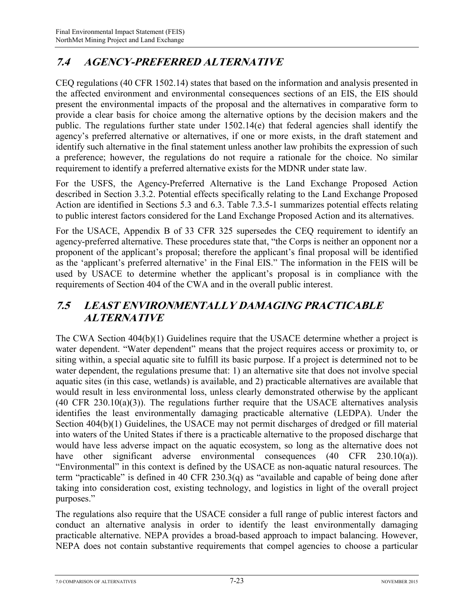# **7.4 AGENCY-PREFERRED ALTERNATIVE**

CEQ regulations (40 CFR 1502.14) states that based on the information and analysis presented in the affected environment and environmental consequences sections of an EIS, the EIS should present the environmental impacts of the proposal and the alternatives in comparative form to provide a clear basis for choice among the alternative options by the decision makers and the public. The regulations further state under 1502.14(e) that federal agencies shall identify the agency's preferred alternative or alternatives, if one or more exists, in the draft statement and identify such alternative in the final statement unless another law prohibits the expression of such a preference; however, the regulations do not require a rationale for the choice. No similar requirement to identify a preferred alternative exists for the MDNR under state law.

For the USFS, the Agency-Preferred Alternative is the Land Exchange Proposed Action described in Section 3.3.2. Potential effects specifically relating to the Land Exchange Proposed Action are identified in Sections 5.3 and 6.3. Table 7.3.5-1 summarizes potential effects relating to public interest factors considered for the Land Exchange Proposed Action and its alternatives.

For the USACE, Appendix B of 33 CFR 325 supersedes the CEQ requirement to identify an agency-preferred alternative. These procedures state that, "the Corps is neither an opponent nor a proponent of the applicant's proposal; therefore the applicant's final proposal will be identified as the 'applicant's preferred alternative' in the Final EIS." The information in the FEIS will be used by USACE to determine whether the applicant's proposal is in compliance with the requirements of Section 404 of the CWA and in the overall public interest.

## **7.5 LEAST ENVIRONMENTALLY DAMAGING PRACTICABLE ALTERNATIVE**

The CWA Section 404(b)(1) Guidelines require that the USACE determine whether a project is water dependent. "Water dependent" means that the project requires access or proximity to, or siting within, a special aquatic site to fulfill its basic purpose. If a project is determined not to be water dependent, the regulations presume that: 1) an alternative site that does not involve special aquatic sites (in this case, wetlands) is available, and 2) practicable alternatives are available that would result in less environmental loss, unless clearly demonstrated otherwise by the applicant  $(40 \text{ CFR } 230.10(a)(3))$ . The regulations further require that the USACE alternatives analysis identifies the least environmentally damaging practicable alternative (LEDPA). Under the Section 404(b)(1) Guidelines, the USACE may not permit discharges of dredged or fill material into waters of the United States if there is a practicable alternative to the proposed discharge that would have less adverse impact on the aquatic ecosystem, so long as the alternative does not have other significant adverse environmental consequences (40 CFR 230.10(a)). "Environmental" in this context is defined by the USACE as non-aquatic natural resources. The term "practicable" is defined in 40 CFR 230.3(q) as "available and capable of being done after taking into consideration cost, existing technology, and logistics in light of the overall project purposes."

The regulations also require that the USACE consider a full range of public interest factors and conduct an alternative analysis in order to identify the least environmentally damaging practicable alternative. NEPA provides a broad-based approach to impact balancing. However, NEPA does not contain substantive requirements that compel agencies to choose a particular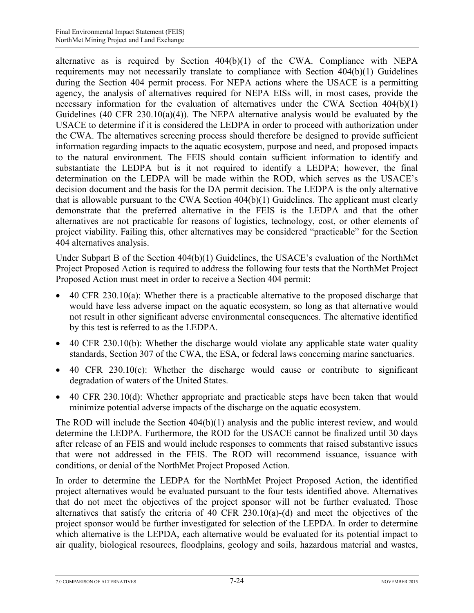alternative as is required by Section  $404(b)(1)$  of the CWA. Compliance with NEPA requirements may not necessarily translate to compliance with Section 404(b)(1) Guidelines during the Section 404 permit process. For NEPA actions where the USACE is a permitting agency, the analysis of alternatives required for NEPA EISs will, in most cases, provide the necessary information for the evaluation of alternatives under the CWA Section 404(b)(1) Guidelines (40 CFR 230.10(a)(4)). The NEPA alternative analysis would be evaluated by the USACE to determine if it is considered the LEDPA in order to proceed with authorization under the CWA. The alternatives screening process should therefore be designed to provide sufficient information regarding impacts to the aquatic ecosystem, purpose and need, and proposed impacts to the natural environment. The FEIS should contain sufficient information to identify and substantiate the LEDPA but is it not required to identify a LEDPA; however, the final determination on the LEDPA will be made within the ROD, which serves as the USACE's decision document and the basis for the DA permit decision. The LEDPA is the only alternative that is allowable pursuant to the CWA Section 404(b)(1) Guidelines. The applicant must clearly demonstrate that the preferred alternative in the FEIS is the LEDPA and that the other alternatives are not practicable for reasons of logistics, technology, cost, or other elements of project viability. Failing this, other alternatives may be considered "practicable" for the Section 404 alternatives analysis.

Under Subpart B of the Section 404(b)(1) Guidelines, the USACE's evaluation of the NorthMet Project Proposed Action is required to address the following four tests that the NorthMet Project Proposed Action must meet in order to receive a Section 404 permit:

- 40 CFR 230.10(a): Whether there is a practicable alternative to the proposed discharge that would have less adverse impact on the aquatic ecosystem, so long as that alternative would not result in other significant adverse environmental consequences. The alternative identified by this test is referred to as the LEDPA.
- 40 CFR 230.10(b): Whether the discharge would violate any applicable state water quality standards, Section 307 of the CWA, the ESA, or federal laws concerning marine sanctuaries.
- 40 CFR 230.10(c): Whether the discharge would cause or contribute to significant degradation of waters of the United States.
- 40 CFR 230.10(d): Whether appropriate and practicable steps have been taken that would minimize potential adverse impacts of the discharge on the aquatic ecosystem.

The ROD will include the Section 404(b)(1) analysis and the public interest review, and would determine the LEDPA. Furthermore, the ROD for the USACE cannot be finalized until 30 days after release of an FEIS and would include responses to comments that raised substantive issues that were not addressed in the FEIS. The ROD will recommend issuance, issuance with conditions, or denial of the NorthMet Project Proposed Action.

In order to determine the LEDPA for the NorthMet Project Proposed Action, the identified project alternatives would be evaluated pursuant to the four tests identified above. Alternatives that do not meet the objectives of the project sponsor will not be further evaluated. Those alternatives that satisfy the criteria of 40 CFR 230.10(a)-(d) and meet the objectives of the project sponsor would be further investigated for selection of the LEPDA. In order to determine which alternative is the LEPDA, each alternative would be evaluated for its potential impact to air quality, biological resources, floodplains, geology and soils, hazardous material and wastes,

7.0 COMPARISON OF ALTERNATIVES 7-24 NOVEMBER 2015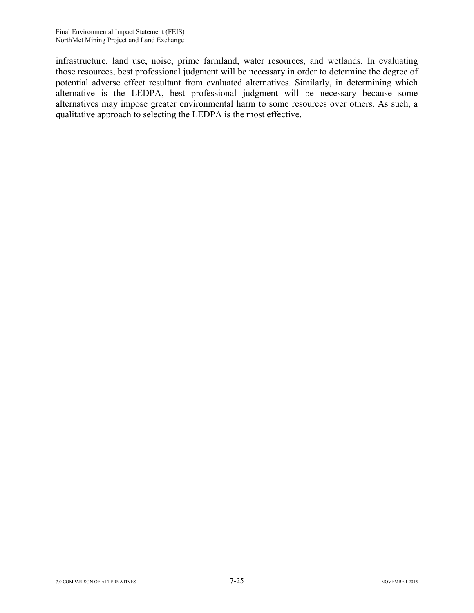infrastructure, land use, noise, prime farmland, water resources, and wetlands. In evaluating those resources, best professional judgment will be necessary in order to determine the degree of potential adverse effect resultant from evaluated alternatives. Similarly, in determining which alternative is the LEDPA, best professional judgment will be necessary because some alternatives may impose greater environmental harm to some resources over others. As such, a qualitative approach to selecting the LEDPA is the most effective.